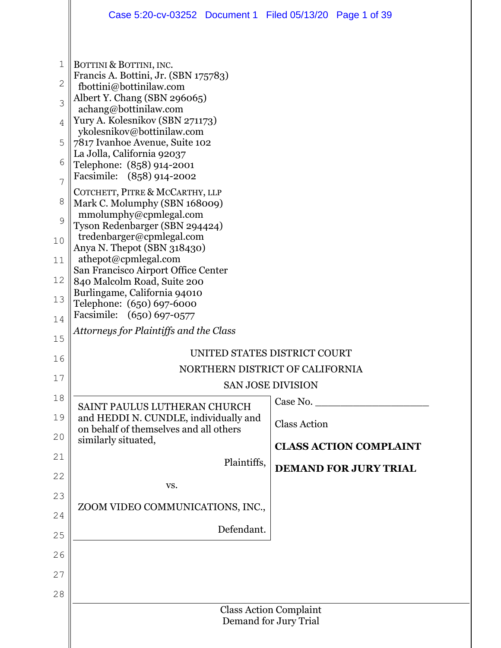|                | Case 5:20-cv-03252 Document 1 Filed 05/13/20 Page 1 of 39                       |                                 |  |  |  |
|----------------|---------------------------------------------------------------------------------|---------------------------------|--|--|--|
|                |                                                                                 |                                 |  |  |  |
| 1              | BOTTINI & BOTTINI, INC.                                                         |                                 |  |  |  |
| $\mathbf{2}$   | Francis A. Bottini, Jr. (SBN 175783)<br>fbottini@bottinilaw.com                 |                                 |  |  |  |
| 3              | Albert Y. Chang (SBN 296065)<br>achang@bottinilaw.com                           |                                 |  |  |  |
| 4              | Yury A. Kolesnikov (SBN 271173)<br>ykolesnikov@bottinilaw.com                   |                                 |  |  |  |
| 5              | 7817 Ivanhoe Avenue, Suite 102                                                  |                                 |  |  |  |
| 6              | La Jolla, California 92037<br>Telephone: (858) 914-2001                         |                                 |  |  |  |
| $\overline{7}$ | Facsimile: (858) 914-2002<br>COTCHETT, PITRE & MCCARTHY, LLP                    |                                 |  |  |  |
| 8              | Mark C. Molumphy (SBN 168009)                                                   |                                 |  |  |  |
| 9              | mmolumphy@cpmlegal.com<br>Tyson Redenbarger (SBN 294424)                        |                                 |  |  |  |
| 10             | tredenbarger@cpmlegal.com<br>Anya N. Thepot (SBN 318430)                        |                                 |  |  |  |
| 11             | athepot@cpmlegal.com<br>San Francisco Airport Office Center                     |                                 |  |  |  |
| 12             | 840 Malcolm Road, Suite 200<br>Burlingame, California 94010                     |                                 |  |  |  |
| 13             | Telephone: (650) 697-6000                                                       |                                 |  |  |  |
| 14             | Facsimile: (650) 697-0577<br>Attorneys for Plaintiffs and the Class             |                                 |  |  |  |
| 15             |                                                                                 | UNITED STATES DISTRICT COURT    |  |  |  |
| 16             |                                                                                 | NORTHERN DISTRICT OF CALIFORNIA |  |  |  |
| 17             | <b>SAN JOSE DIVISION</b>                                                        |                                 |  |  |  |
| 18             | SAINT PAULUS LUTHERAN CHURCH                                                    | Case No.                        |  |  |  |
| 19             | and HEDDI N. CUNDLE, individually and<br>on behalf of themselves and all others | <b>Class Action</b>             |  |  |  |
| 20             | similarly situated,                                                             | <b>CLASS ACTION COMPLAINT</b>   |  |  |  |
| 21             | Plaintiffs,                                                                     | <b>DEMAND FOR JURY TRIAL</b>    |  |  |  |
| 22             | VS.                                                                             |                                 |  |  |  |
| 23             | ZOOM VIDEO COMMUNICATIONS, INC.,                                                |                                 |  |  |  |
| 24             | Defendant.                                                                      |                                 |  |  |  |
| 25             |                                                                                 |                                 |  |  |  |
| 26             |                                                                                 |                                 |  |  |  |
| 27             |                                                                                 |                                 |  |  |  |
| 28             |                                                                                 | <b>Class Action Complaint</b>   |  |  |  |
|                |                                                                                 | Demand for Jury Trial           |  |  |  |
|                |                                                                                 |                                 |  |  |  |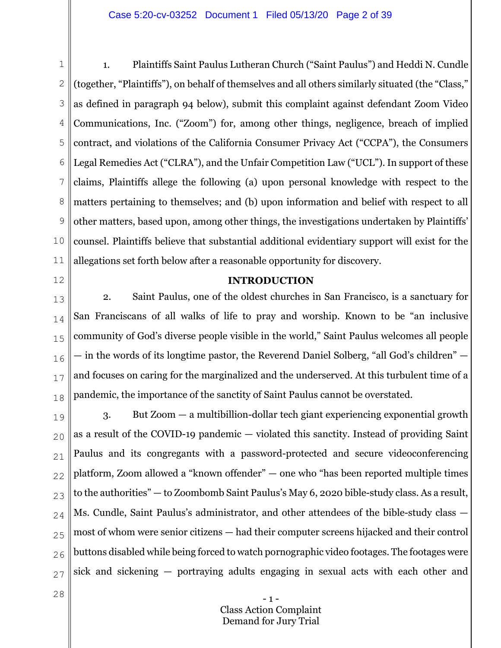#### Case 5:20-cv-03252 Document 1 Filed 05/13/20 Page 2 of 39

1 2 3 4 5 6 7 8 9 10 11 1. Plaintiffs Saint Paulus Lutheran Church ("Saint Paulus") and Heddi N. Cundle (together, "Plaintiffs"), on behalf of themselves and all others similarly situated (the "Class," as defined in paragraph 94 below), submit this complaint against defendant Zoom Video Communications, Inc. ("Zoom") for, among other things, negligence, breach of implied contract, and violations of the California Consumer Privacy Act ("CCPA"), the Consumers Legal Remedies Act ("CLRA"), and the Unfair Competition Law ("UCL"). In support of these claims, Plaintiffs allege the following (a) upon personal knowledge with respect to the matters pertaining to themselves; and (b) upon information and belief with respect to all other matters, based upon, among other things, the investigations undertaken by Plaintiffs' counsel. Plaintiffs believe that substantial additional evidentiary support will exist for the allegations set forth below after a reasonable opportunity for discovery.

12

#### **INTRODUCTION**

13 14 15 16 17 18 2. Saint Paulus, one of the oldest churches in San Francisco, is a sanctuary for San Franciscans of all walks of life to pray and worship. Known to be "an inclusive community of God's diverse people visible in the world," Saint Paulus welcomes all people — in the words of its longtime pastor, the Reverend Daniel Solberg, "all God's children" and focuses on caring for the marginalized and the underserved. At this turbulent time of a pandemic, the importance of the sanctity of Saint Paulus cannot be overstated.

19 20 21 22 23 24 25 26 27 3. But Zoom — a multibillion-dollar tech giant experiencing exponential growth as a result of the COVID-19 pandemic — violated this sanctity. Instead of providing Saint Paulus and its congregants with a password-protected and secure videoconferencing platform, Zoom allowed a "known offender" — one who "has been reported multiple times to the authorities" — to Zoombomb Saint Paulus's May 6, 2020 bible-study class. As a result, Ms. Cundle, Saint Paulus's administrator, and other attendees of the bible-study class most of whom were senior citizens — had their computer screens hijacked and their control buttons disabled while being forced to watch pornographic video footages. The footages were sick and sickening — portraying adults engaging in sexual acts with each other and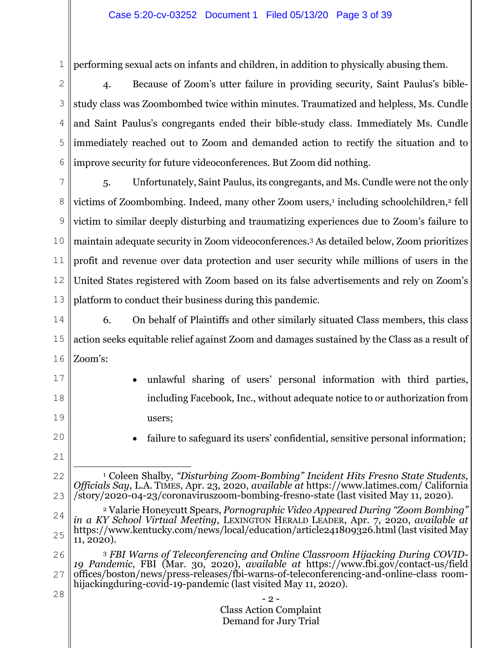1 performing sexual acts on infants and children, in addition to physically abusing them.

2 3 4 5 6 4. Because of Zoom's utter failure in providing security, Saint Paulus's biblestudy class was Zoombombed twice within minutes. Traumatized and helpless, Ms. Cundle and Saint Paulus's congregants ended their bible-study class. Immediately Ms. Cundle immediately reached out to Zoom and demanded action to rectify the situation and to improve security for future videoconferences. But Zoom did nothing.

7 8 9 10 11 12 13 5. Unfortunately, Saint Paulus, its congregants, and Ms. Cundle were not the only victims of Zoombombing. Indeed, many other Zoom users,<sup>1</sup> including schoolchildren,<sup>2</sup> fell victim to similar deeply disturbing and traumatizing experiences due to Zoom's failure to maintain adequate security in Zoom videoconferences.3 As detailed below, Zoom prioritizes profit and revenue over data protection and user security while millions of users in the United States registered with Zoom based on its false advertisements and rely on Zoom's platform to conduct their business during this pandemic.

14 15 16 6. On behalf of Plaintiffs and other similarly situated Class members, this class action seeks equitable relief against Zoom and damages sustained by the Class as a result of Zoom's:

- 17 18 19 • unlawful sharing of users' personal information with third parties, including Facebook, Inc., without adequate notice to or authorization from users;
- 20

failure to safeguard its users' confidential, sensitive personal information;

21

22

<sup>1</sup> Coleen Shalby, *"Disturbing Zoom-Bombing" Incident Hits Fresno State Students, Officials Say*, L.A. TIMES, Apr. 23, 2020, *available at* https://www.latimes.com/ California /story/2020-04-23/coronaviruszoom-bombing-fresno-state (last visited May 11, 2020).

<sup>24</sup> 25 2 Valarie Honeycutt Spears, *Pornographic Video Appeared During "Zoom Bombing" in a KY School Virtual Meeting*, LEXINGTON HERALD LEADER, Apr. 7, 2020, *available at* https://www.kentucky.com/news/local/education/article241809326.html (last visited May 11, 2020).

<sup>26</sup> 27 28 <sup>3</sup> *FBI Warns of Teleconferencing and Online Classroom Hijacking During COVID-19 Pandemic*, FBI (Mar. 30, 2020), *available at* https://www.fbi.gov/contact-us/field offices/boston/news/press-releases/fbi-warns-of-teleconferencing-and-online-class roomhijackingduring-covid-19-pandemic (last visited May 11, 2020).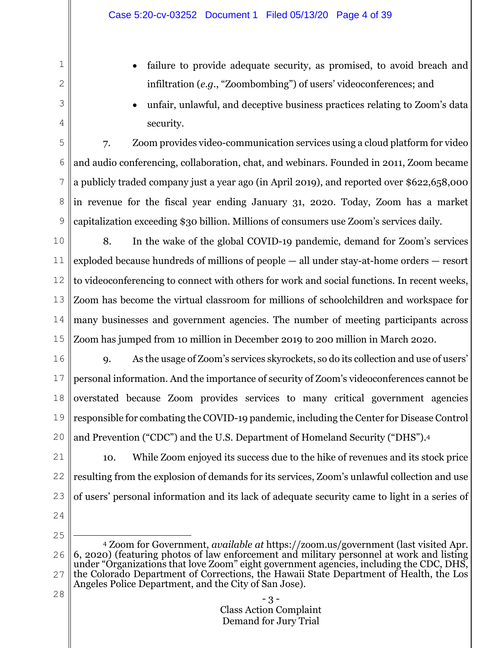- failure to provide adequate security, as promised, to avoid breach and infiltration (*e.g*., "Zoombombing") of users' videoconferences; and
	- x unfair, unlawful, and deceptive business practices relating to Zoom's data security.

5 6 7 8 9 7. Zoom provides video-communication services using a cloud platform for video and audio conferencing, collaboration, chat, and webinars. Founded in 2011, Zoom became a publicly traded company just a year ago (in April 2019), and reported over \$622,658,000 in revenue for the fiscal year ending January 31, 2020. Today, Zoom has a market capitalization exceeding \$30 billion. Millions of consumers use Zoom's services daily.

10 11 12 13 14 15 8. In the wake of the global COVID-19 pandemic, demand for Zoom's services exploded because hundreds of millions of people — all under stay-at-home orders — resort to videoconferencing to connect with others for work and social functions. In recent weeks, Zoom has become the virtual classroom for millions of schoolchildren and workspace for many businesses and government agencies. The number of meeting participants across Zoom has jumped from 10 million in December 2019 to 200 million in March 2020.

16 17 18 19 20 9. As the usage of Zoom's services skyrockets, so do its collection and use of users' personal information. And the importance of security of Zoom's videoconferences cannot be overstated because Zoom provides services to many critical government agencies responsible for combating the COVID-19 pandemic, including the Center for Disease Control and Prevention ("CDC") and the U.S. Department of Homeland Security ("DHS").4

21 22 23 10. While Zoom enjoyed its success due to the hike of revenues and its stock price resulting from the explosion of demands for its services, Zoom's unlawful collection and use of users' personal information and its lack of adequate security came to light in a series of

24

1

2

3

4

<sup>26</sup> 27 28 4 Zoom for Government, *available at* https://zoom.us/government (last visited Apr. 6, 2020) (featuring photos of law enforcement and military personnel at work and listing under "Organizations that love Zoom" eight government agencies, including the CDC, DHS, the Colorado Department of Corrections, the Hawaii State Department of Health, the Los Angeles Police Department, and the City of San Jose).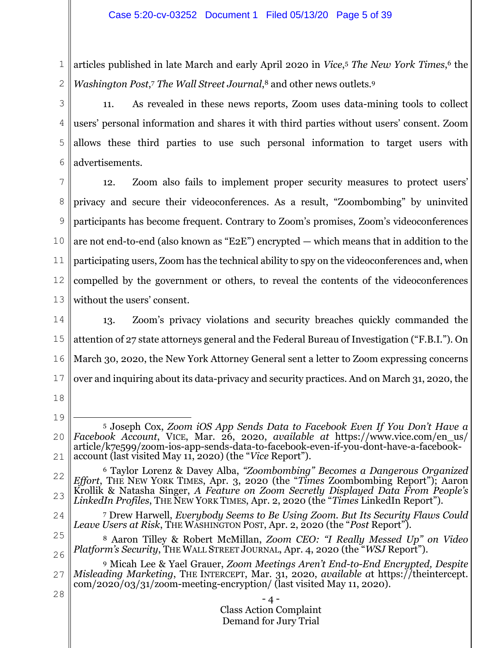1 2 articles published in late March and early April 2020 in *Vice*,5 *The New York Times*,6 the *Washington Post*,7 *The Wall Street Journal*,8 and other news outlets.9

3

4 5 6 11. As revealed in these news reports, Zoom uses data-mining tools to collect users' personal information and shares it with third parties without users' consent. Zoom allows these third parties to use such personal information to target users with advertisements.

7 8 9 10 11 12 13 12. Zoom also fails to implement proper security measures to protect users' privacy and secure their videoconferences. As a result, "Zoombombing" by uninvited participants has become frequent. Contrary to Zoom's promises, Zoom's videoconferences are not end-to-end (also known as "E2E") encrypted — which means that in addition to the participating users, Zoom has the technical ability to spy on the videoconferences and, when compelled by the government or others, to reveal the contents of the videoconferences without the users' consent.

14 15 16 17 13. Zoom's privacy violations and security breaches quickly commanded the attention of 27 state attorneys general and the Federal Bureau of Investigation ("F.B.I."). On March 30, 2020, the New York Attorney General sent a letter to Zoom expressing concerns over and inquiring about its data-privacy and security practices. And on March 31, 2020, the

18

19

20 21 5 Joseph Cox, *Zoom iOS App Sends Data to Facebook Even If You Don't Have a Facebook Account*, VICE, Mar. 26, 2020, *available at* https://www.vice.com/en\_us/ article/k7e599/zoom-ios-app-sends-data-to-facebook-even-if-you-dont-have-a-facebookaccount (last visited May 11, 2020) (the "*Vice* Report").

- 24 7 Drew Harwell, *Everybody Seems to Be Using Zoom. But Its Security Flaws Could Leave Users at Risk*, THE WASHINGTON POST, Apr. 2, 2020 (the "*Post* Report").
- 25 26 8 Aaron Tilley & Robert McMillan, *Zoom CEO: "I Really Messed Up" on Video Platform's Security*, THE WALL STREET JOURNAL, Apr. 4, 2020 (the "*WSJ* Report").

27 28 9 Micah Lee & Yael Grauer, *Zoom Meetings Aren't End-to-End Encrypted, Despite Misleading Marketing*, THE INTERCEPT, Mar. 31, 2020, *available a*t https://theintercept.  $\text{com}/2020/03/31/\text{zoom-mecting-encryption}/$  (last visited May 11, 2020).

<sup>22</sup> 23 6 Taylor Lorenz & Davey Alba, *"Zoombombing" Becomes a Dangerous Organized Effort*, THE NEW YORK TIMES, Apr. 3, 2020 (the "*Times* Zoombombing Report"); Aaron Krollik & Natasha Singer, *A Feature on Zoom Secretly Displayed Data From People's LinkedIn Profiles*, THE NEW YORK TIMES, Apr. 2, 2020 (the "*Times* LinkedIn Report").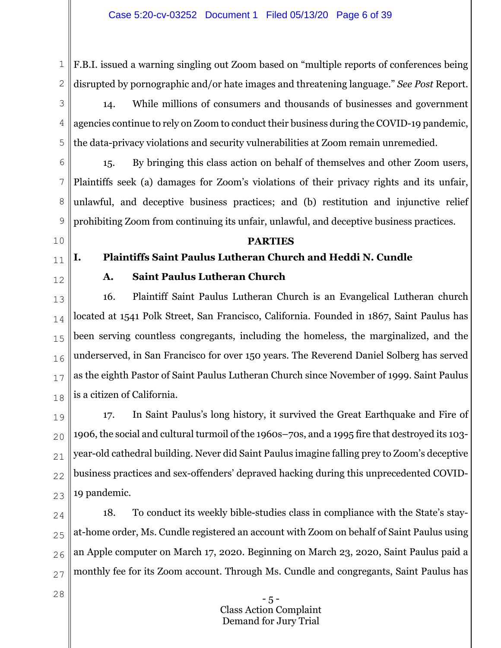1 2 F.B.I. issued a warning singling out Zoom based on "multiple reports of conferences being disrupted by pornographic and/or hate images and threatening language." *See Post* Report.

3 4 5 14. While millions of consumers and thousands of businesses and government agencies continue to rely on Zoom to conduct their business during the COVID-19 pandemic, the data-privacy violations and security vulnerabilities at Zoom remain unremedied.

6 7 8 9 15. By bringing this class action on behalf of themselves and other Zoom users, Plaintiffs seek (a) damages for Zoom's violations of their privacy rights and its unfair, unlawful, and deceptive business practices; and (b) restitution and injunctive relief prohibiting Zoom from continuing its unfair, unlawful, and deceptive business practices.

**PARTIES** 

**I. Plaintiffs Saint Paulus Lutheran Church and Heddi N. Cundle** 

10

# 11

12

# **A. Saint Paulus Lutheran Church**

13 14 15 16 17 18 16. Plaintiff Saint Paulus Lutheran Church is an Evangelical Lutheran church located at 1541 Polk Street, San Francisco, California. Founded in 1867, Saint Paulus has been serving countless congregants, including the homeless, the marginalized, and the underserved, in San Francisco for over 150 years. The Reverend Daniel Solberg has served as the eighth Pastor of Saint Paulus Lutheran Church since November of 1999. Saint Paulus is a citizen of California.

19  $20$ 21 22 23 17. In Saint Paulus's long history, it survived the Great Earthquake and Fire of 1906, the social and cultural turmoil of the 1960s–70s, and a 1995 fire that destroyed its 103 year-old cathedral building. Never did Saint Paulus imagine falling prey to Zoom's deceptive business practices and sex-offenders' depraved hacking during this unprecedented COVID-19 pandemic.

24 25 26 27 18. To conduct its weekly bible-studies class in compliance with the State's stayat-home order, Ms. Cundle registered an account with Zoom on behalf of Saint Paulus using an Apple computer on March 17, 2020. Beginning on March 23, 2020, Saint Paulus paid a monthly fee for its Zoom account. Through Ms. Cundle and congregants, Saint Paulus has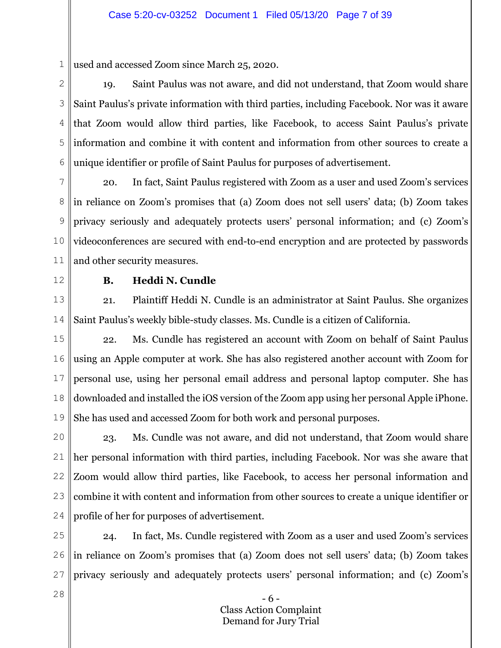1 used and accessed Zoom since March 25, 2020.

2 3 4 5 6 19. Saint Paulus was not aware, and did not understand, that Zoom would share Saint Paulus's private information with third parties, including Facebook. Nor was it aware that Zoom would allow third parties, like Facebook, to access Saint Paulus's private information and combine it with content and information from other sources to create a unique identifier or profile of Saint Paulus for purposes of advertisement.

7 8 9 10 11 20. In fact, Saint Paulus registered with Zoom as a user and used Zoom's services in reliance on Zoom's promises that (a) Zoom does not sell users' data; (b) Zoom takes privacy seriously and adequately protects users' personal information; and (c) Zoom's videoconferences are secured with end-to-end encryption and are protected by passwords and other security measures.

12

28

# **B. Heddi N. Cundle**

13 14 21. Plaintiff Heddi N. Cundle is an administrator at Saint Paulus. She organizes Saint Paulus's weekly bible-study classes. Ms. Cundle is a citizen of California.

15 16 17 18 19 22. Ms. Cundle has registered an account with Zoom on behalf of Saint Paulus using an Apple computer at work. She has also registered another account with Zoom for personal use, using her personal email address and personal laptop computer. She has downloaded and installed the iOS version of the Zoom app using her personal Apple iPhone. She has used and accessed Zoom for both work and personal purposes.

20 21 22 23 24 23. Ms. Cundle was not aware, and did not understand, that Zoom would share her personal information with third parties, including Facebook. Nor was she aware that Zoom would allow third parties, like Facebook, to access her personal information and combine it with content and information from other sources to create a unique identifier or profile of her for purposes of advertisement.

25 26 27 24. In fact, Ms. Cundle registered with Zoom as a user and used Zoom's services in reliance on Zoom's promises that (a) Zoom does not sell users' data; (b) Zoom takes privacy seriously and adequately protects users' personal information; and (c) Zoom's

> - 6 - Class Action Complaint Demand for Jury Trial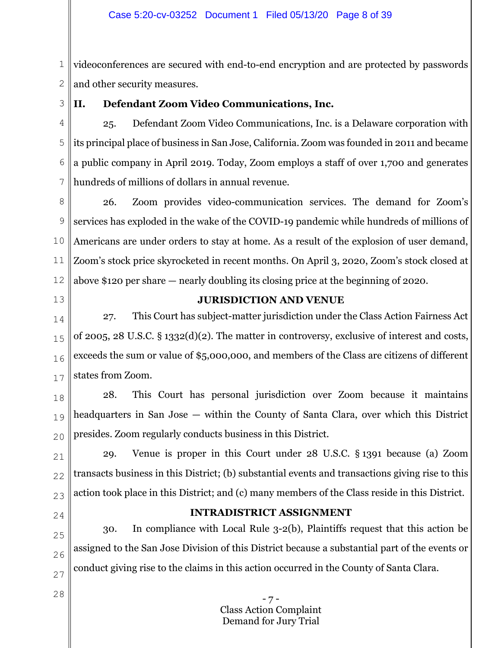1 2 videoconferences are secured with end-to-end encryption and are protected by passwords and other security measures.

3

# **II. Defendant Zoom Video Communications, Inc.**

4 5 6 7 25. Defendant Zoom Video Communications, Inc. is a Delaware corporation with its principal place of business in San Jose, California. Zoom was founded in 2011 and became a public company in April 2019. Today, Zoom employs a staff of over 1,700 and generates hundreds of millions of dollars in annual revenue.

8 9 10 11 12 26. Zoom provides video-communication services. The demand for Zoom's services has exploded in the wake of the COVID-19 pandemic while hundreds of millions of Americans are under orders to stay at home. As a result of the explosion of user demand, Zoom's stock price skyrocketed in recent months. On April 3, 2020, Zoom's stock closed at above \$120 per share — nearly doubling its closing price at the beginning of 2020.

13

# **JURISDICTION AND VENUE**

14 15 16 17 27. This Court has subject-matter jurisdiction under the Class Action Fairness Act of 2005, 28 U.S.C. § 1332(d)(2). The matter in controversy, exclusive of interest and costs, exceeds the sum or value of \$5,000,000, and members of the Class are citizens of different states from Zoom.

18 19  $20$ 28. This Court has personal jurisdiction over Zoom because it maintains headquarters in San Jose — within the County of Santa Clara, over which this District presides. Zoom regularly conducts business in this District.

21 22 23 29. Venue is proper in this Court under 28 U.S.C. § 1391 because (a) Zoom transacts business in this District; (b) substantial events and transactions giving rise to this action took place in this District; and (c) many members of the Class reside in this District.

24

28

# **INTRADISTRICT ASSIGNMENT**

25 26 27 30. In compliance with Local Rule 3-2(b), Plaintiffs request that this action be assigned to the San Jose Division of this District because a substantial part of the events or conduct giving rise to the claims in this action occurred in the County of Santa Clara.

> - 7 - Class Action Complaint Demand for Jury Trial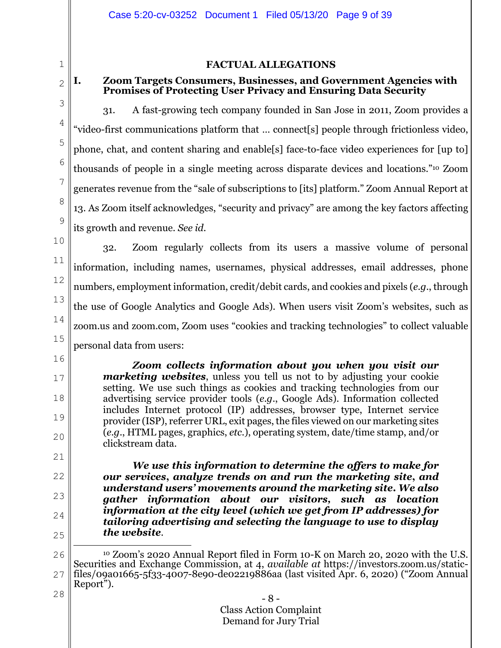# **FACTUAL ALLEGATIONS**

#### 2 **I. Zoom Targets Consumers, Businesses, and Government Agencies with Promises of Protecting User Privacy and Ensuring Data Security**

3 4

5

6

7

8

9

1

31. A fast-growing tech company founded in San Jose in 2011, Zoom provides a "video-first communications platform that … connect[s] people through frictionless video, phone, chat, and content sharing and enable[s] face-to-face video experiences for [up to] thousands of people in a single meeting across disparate devices and locations."10 Zoom generates revenue from the "sale of subscriptions to [its] platform." Zoom Annual Report at 13. As Zoom itself acknowledges, "security and privacy" are among the key factors affecting its growth and revenue. *See id*.

10

16

17

18

19

20

21

22

23

24

25

11 12 13 14 15 32. Zoom regularly collects from its users a massive volume of personal information, including names, usernames, physical addresses, email addresses, phone numbers, employment information, credit/debit cards, and cookies and pixels (*e.g*., through the use of Google Analytics and Google Ads). When users visit Zoom's websites, such as zoom.us and zoom.com, Zoom uses "cookies and tracking technologies" to collect valuable personal data from users:

*Zoom collects information about you when you visit our marketing websites*, unless you tell us not to by adjusting your cookie setting. We use such things as cookies and tracking technologies from our advertising service provider tools (*e.g*., Google Ads). Information collected includes Internet protocol (IP) addresses, browser type, Internet service provider (ISP), referrer URL, exit pages, the files viewed on our marketing sites (*e.g*., HTML pages, graphics, *etc*.), operating system, date/time stamp, and/or clickstream data.

*We use this information to determine the offers to make for our services***,** *analyze trends on and run the marketing site***,** *and understand users' movements around the marketing site***.** *We also gather information about our visitors, such as location information at the city level (which we get from IP addresses) for tailoring advertising and selecting the language to use to display the website*.

<sup>26</sup> 27 28 10 Zoom's 2020 Annual Report filed in Form 10-K on March 20, 2020 with the U.S. Securities and Exchange Commission, at 4, *available at* https://investors.zoom.us/staticfiles/09a01665-5f33-4007-8e90-de02219886aa (last visited Apr. 6, 2020) ("Zoom Annual Report").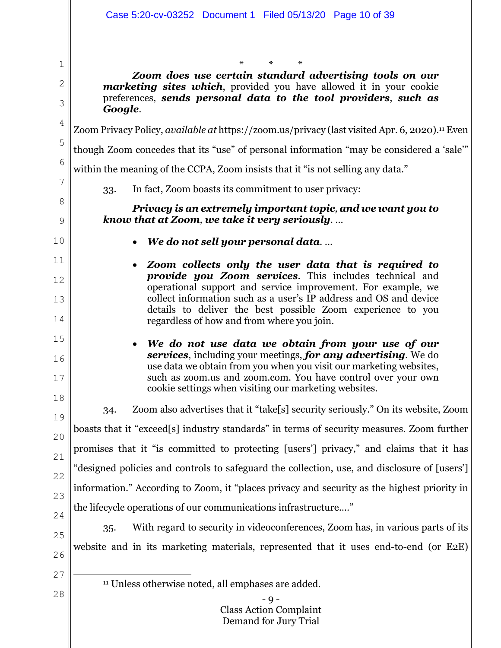$- Q -$ Class Action Complaint Demand for Jury Trial 1 2 3 4 5 6 7 8 9 10 11 12 13 14 15 16 17 18 19 20 21 22 23 24 25 26 27 28 \* \* \* *Zoom does use certain standard advertising tools on our marketing sites which*, provided you have allowed it in your cookie preferences, *sends personal data to the tool providers*, *such as Google*. Zoom Privacy Policy, *available at* https://zoom.us/privacy (last visited Apr. 6, 2020).11 Even though Zoom concedes that its "use" of personal information "may be considered a 'sale'" within the meaning of the CCPA, Zoom insists that it "is not selling any data." 33. In fact, Zoom boasts its commitment to user privacy: *Privacy is an extremely important topic, and we want you to know that at Zoom, we take it very seriously*. … x *We do not sell your personal data*. … x *Zoom collects only the user data that is required to provide you Zoom services*. This includes technical and operational support and service improvement. For example, we collect information such as a user's IP address and OS and device details to deliver the best possible Zoom experience to you regardless of how and from where you join. x *We do not use data we obtain from your use of our services*, including your meetings, *for any advertising*. We do use data we obtain from you when you visit our marketing websites, such as zoom.us and zoom.com. You have control over your own cookie settings when visiting our marketing websites. 34. Zoom also advertises that it "take[s] security seriously." On its website, Zoom boasts that it "exceed[s] industry standards" in terms of security measures. Zoom further promises that it "is committed to protecting [users'] privacy," and claims that it has "designed policies and controls to safeguard the collection, use, and disclosure of [users'] information." According to Zoom, it "places privacy and security as the highest priority in the lifecycle operations of our communications infrastructure.…" 35. With regard to security in videoconferences, Zoom has, in various parts of its website and in its marketing materials, represented that it uses end-to-end (or E2E) 11 Unless otherwise noted, all emphases are added.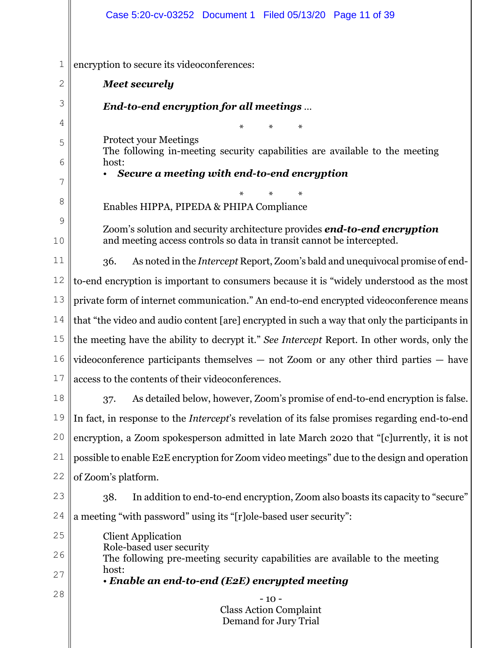|              | Case 5:20-cv-03252 Document 1 Filed 05/13/20 Page 11 of 39                                                  |  |
|--------------|-------------------------------------------------------------------------------------------------------------|--|
|              |                                                                                                             |  |
| $1\,$        | encryption to secure its videoconferences:                                                                  |  |
| $\mathbf{2}$ | <b>Meet securely</b>                                                                                        |  |
| 3            | End-to-end encryption for all meetings                                                                      |  |
| 4            | $\ast$                                                                                                      |  |
| 5            | <b>Protect your Meetings</b><br>The following in-meeting security capabilities are available to the meeting |  |
| 6            | host:                                                                                                       |  |
| 7            | Secure a meeting with end-to-end encryption                                                                 |  |
| 8            | Enables HIPPA, PIPEDA & PHIPA Compliance                                                                    |  |
| 9            | Zoom's solution and security architecture provides <b>end-to-end encryption</b>                             |  |
| 10           | and meeting access controls so data in transit cannot be intercepted.                                       |  |
| 11           | As noted in the <i>Intercept</i> Report, Zoom's bald and unequivocal promise of end-<br>36.                 |  |
| 12           | to-end encryption is important to consumers because it is "widely understood as the most                    |  |
| 13           | private form of internet communication." An end-to-end encrypted videoconference means                      |  |
| 14           | that "the video and audio content [are] encrypted in such a way that only the participants in               |  |
| 15           | the meeting have the ability to decrypt it." See Intercept Report. In other words, only the                 |  |
| 16           | $\vert$ videoconference participants themselves $-$ not Zoom or any other third parties $-$ have            |  |
| 17           | access to the contents of their videoconferences.                                                           |  |
| 18           | As detailed below, however, Zoom's promise of end-to-end encryption is false.<br>37.                        |  |
| 19           | In fact, in response to the <i>Intercept</i> 's revelation of its false promises regarding end-to-end       |  |
| 20           | encryption, a Zoom spokesperson admitted in late March 2020 that "[c]urrently, it is not                    |  |
| 21           | possible to enable E2E encryption for Zoom video meetings" due to the design and operation                  |  |
| 22           | of Zoom's platform.                                                                                         |  |
| 23           | In addition to end-to-end encryption, Zoom also boasts its capacity to "secure"<br>38.                      |  |
| 24           | a meeting "with password" using its "[r]ole-based user security":                                           |  |
| 25           | <b>Client Application</b>                                                                                   |  |
| 26           | Role-based user security<br>The following pre-meeting security capabilities are available to the meeting    |  |
| 27           | host:<br>$\cdot$ Enable an end-to-end (E2E) encrypted meeting                                               |  |
| 28           | $-10-$                                                                                                      |  |
|              | <b>Class Action Complaint</b><br>Demand for Jury Trial                                                      |  |
|              |                                                                                                             |  |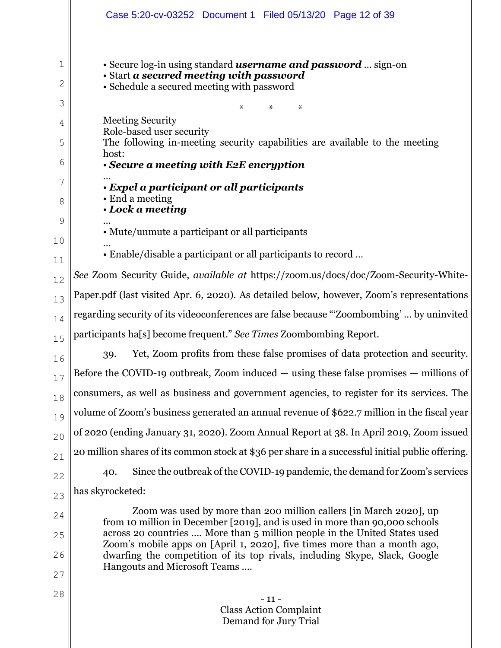|        | Case 5:20-cv-03252 Document 1 Filed 05/13/20 Page 12 of 39                                                                                            |  |
|--------|-------------------------------------------------------------------------------------------------------------------------------------------------------|--|
| 1      | • Secure log-in using standard <b>username and password</b> sign-on<br>• Start a secured meeting with password                                        |  |
| 2      | • Schedule a secured meeting with password                                                                                                            |  |
| 3      | $\ast$<br>$\ast$<br>$\ast$                                                                                                                            |  |
| 4      | <b>Meeting Security</b><br>Role-based user security                                                                                                   |  |
| 5      | The following in-meeting security capabilities are available to the meeting<br>host:                                                                  |  |
| 6      | • Secure a meeting with E2E encryption                                                                                                                |  |
| 7<br>8 | · Expel a participant or all participants<br>• End a meeting                                                                                          |  |
| 9      | • Lock a meeting                                                                                                                                      |  |
| 10     | • Mute/unmute a participant or all participants                                                                                                       |  |
| 11     | • Enable/disable a participant or all participants to record                                                                                          |  |
| 12     | See Zoom Security Guide, available at https://zoom.us/docs/doc/Zoom-Security-White-                                                                   |  |
| 13     | Paper.pdf (last visited Apr. 6, 2020). As detailed below, however, Zoom's representations                                                             |  |
| 14     | regarding security of its videoconferences are false because "Zoombombing' by uninvited                                                               |  |
| 15     | participants ha[s] become frequent." See Times Zoombombing Report.                                                                                    |  |
| 16     | Yet, Zoom profits from these false promises of data protection and security.<br>39.                                                                   |  |
| 17     | Before the COVID-19 outbreak, Zoom induced $-$ using these false promises $-$ millions of                                                             |  |
| 18     | consumers, as well as business and government agencies, to register for its services. The                                                             |  |
| 19     | volume of Zoom's business generated an annual revenue of \$622.7 million in the fiscal year                                                           |  |
| 20     | of 2020 (ending January 31, 2020). Zoom Annual Report at 38. In April 2019, Zoom issued                                                               |  |
| 21     | 20 million shares of its common stock at \$36 per share in a successful initial public offering.                                                      |  |
| 22     | Since the outbreak of the COVID-19 pandemic, the demand for Zoom's services<br>40.                                                                    |  |
| 23     | has skyrocketed:                                                                                                                                      |  |
| 24     | Zoom was used by more than 200 million callers [in March 2020], up<br>from 10 million in December [2019], and is used in more than 90,000 schools     |  |
| 25     | across 20 countries  More than 5 million people in the United States used<br>Zoom's mobile apps on [April 1, 2020], five times more than a month ago, |  |
| 26     | dwarfing the competition of its top rivals, including Skype, Slack, Google                                                                            |  |
| 27     | Hangouts and Microsoft Teams                                                                                                                          |  |
| 28     | $-11-$                                                                                                                                                |  |
|        | <b>Class Action Complaint</b><br>Demand for Jury Trial                                                                                                |  |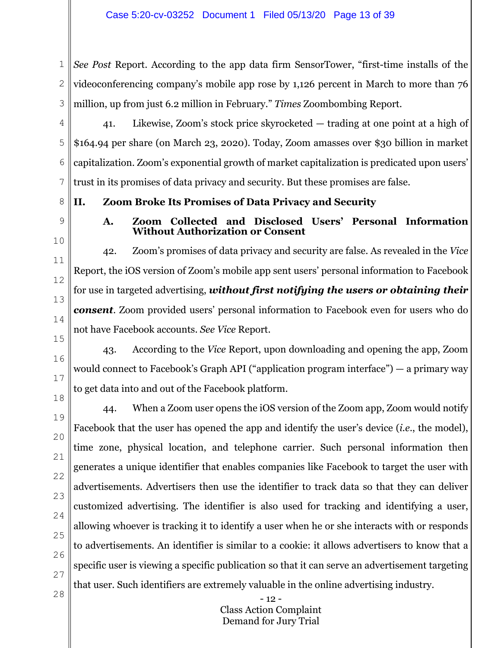1 2 3 *See Post* Report. According to the app data firm SensorTower, "first-time installs of the videoconferencing company's mobile app rose by 1,126 percent in March to more than 76 million, up from just 6.2 million in February." *Times* Zoombombing Report.

4 5 6 7 41. Likewise, Zoom's stock price skyrocketed — trading at one point at a high of \$164.94 per share (on March 23, 2020). Today, Zoom amasses over \$30 billion in market capitalization. Zoom's exponential growth of market capitalization is predicated upon users' trust in its promises of data privacy and security. But these promises are false.

**II. Zoom Broke Its Promises of Data Privacy and Security** 

9 10

11

12

13

14

8

# **A. Zoom Collected and Disclosed Users' Personal Information Without Authorization or Consent**

42. Zoom's promises of data privacy and security are false. As revealed in the *Vice*  Report, the iOS version of Zoom's mobile app sent users' personal information to Facebook for use in targeted advertising, *without first notifying the users or obtaining their consent*. Zoom provided users' personal information to Facebook even for users who do not have Facebook accounts. *See Vice* Report.

15 16

17

18

43. According to the *Vice* Report, upon downloading and opening the app, Zoom would connect to Facebook's Graph API ("application program interface") — a primary way to get data into and out of the Facebook platform.

28

44. When a Zoom user opens the iOS version of the Zoom app, Zoom would notify Facebook that the user has opened the app and identify the user's device (*i.e*., the model), time zone, physical location, and telephone carrier. Such personal information then generates a unique identifier that enables companies like Facebook to target the user with advertisements. Advertisers then use the identifier to track data so that they can deliver customized advertising. The identifier is also used for tracking and identifying a user, allowing whoever is tracking it to identify a user when he or she interacts with or responds to advertisements. An identifier is similar to a cookie: it allows advertisers to know that a specific user is viewing a specific publication so that it can serve an advertisement targeting that user. Such identifiers are extremely valuable in the online advertising industry.

> - 12 - Class Action Complaint Demand for Jury Trial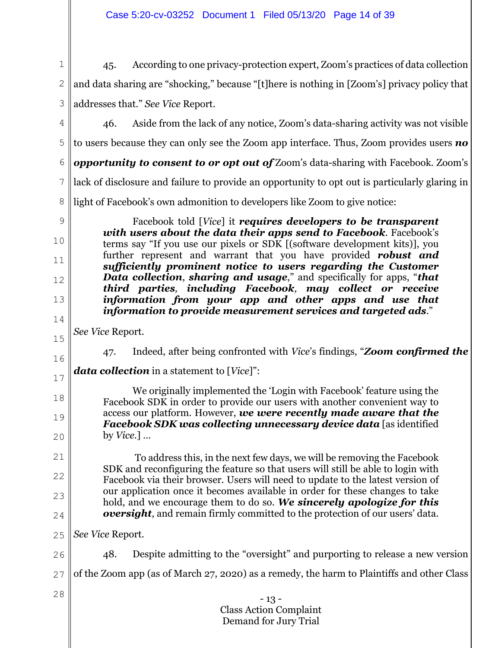#### - 13 - Class Action Complaint Demand for Jury Trial 1 2 3 4 5 6 7 8 9 10 11 12 13 14 15 16 17 18 19 20 21 22 23 24 25 26 27 28 45. According to one privacy-protection expert, Zoom's practices of data collection and data sharing are "shocking," because "[t]here is nothing in [Zoom's] privacy policy that addresses that." *See Vice* Report. 46. Aside from the lack of any notice, Zoom's data-sharing activity was not visible to users because they can only see the Zoom app interface. Thus, Zoom provides users *no opportunity to consent to or opt out of* Zoom's data-sharing with Facebook. Zoom's lack of disclosure and failure to provide an opportunity to opt out is particularly glaring in light of Facebook's own admonition to developers like Zoom to give notice: Facebook told [*Vice*] it *requires developers to be transparent with users about the data their apps send to Facebook*. Facebook's terms say "If you use our pixels or SDK [(software development kits)], you further represent and warrant that you have provided *robust and sufficiently prominent notice to users regarding the Customer Data collection*, *sharing and usage*," and specifically for apps, "*that third parties, including Facebook, may collect or receive information from your app and other apps and use that information to provide measurement services and targeted ads*." *See Vice* Report. 47. Indeed, after being confronted with *Vice*'s findings, "*Zoom confirmed the data collection* in a statement to [*Vice*]": We originally implemented the 'Login with Facebook' feature using the Facebook SDK in order to provide our users with another convenient way to access our platform. However, *we were recently made aware that the Facebook SDK was collecting unnecessary device data* [as identified by *Vice*.] … To address this, in the next few days, we will be removing the Facebook SDK and reconfiguring the feature so that users will still be able to login with Facebook via their browser. Users will need to update to the latest version of our application once it becomes available in order for these changes to take hold, and we encourage them to do so. *We sincerely apologize for this oversight*, and remain firmly committed to the protection of our users' data. *See Vice* Report. 48. Despite admitting to the "oversight" and purporting to release a new version of the Zoom app (as of March 27, 2020) as a remedy, the harm to Plaintiffs and other Class

Case 5:20-cv-03252 Document 1 Filed 05/13/20 Page 14 of 39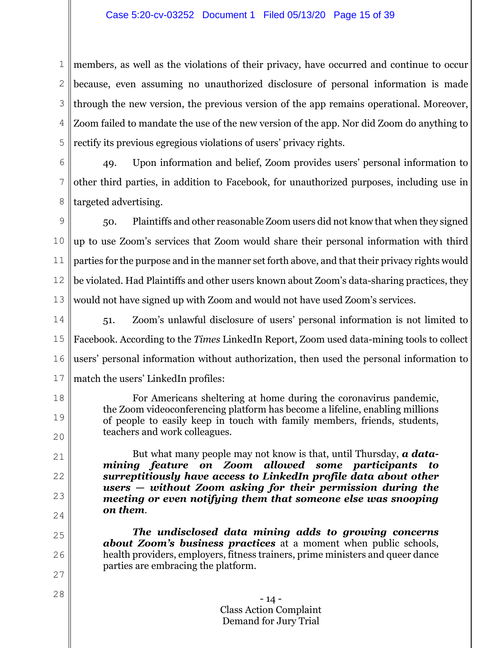# Case 5:20-cv-03252 Document 1 Filed 05/13/20 Page 15 of 39

1 2 3 4 5 members, as well as the violations of their privacy, have occurred and continue to occur because, even assuming no unauthorized disclosure of personal information is made through the new version, the previous version of the app remains operational. Moreover, Zoom failed to mandate the use of the new version of the app. Nor did Zoom do anything to rectify its previous egregious violations of users' privacy rights.

6 7 8 49. Upon information and belief, Zoom provides users' personal information to other third parties, in addition to Facebook, for unauthorized purposes, including use in targeted advertising.

9 10 11 12 13 50. Plaintiffs and other reasonable Zoom users did not know that when they signed up to use Zoom's services that Zoom would share their personal information with third parties for the purpose and in the manner set forth above, and that their privacy rights would be violated. Had Plaintiffs and other users known about Zoom's data-sharing practices, they would not have signed up with Zoom and would not have used Zoom's services.

14 15 16 17 51. Zoom's unlawful disclosure of users' personal information is not limited to Facebook. According to the *Times* LinkedIn Report, Zoom used data-mining tools to collect users' personal information without authorization, then used the personal information to match the users' LinkedIn profiles:

18

19

20

21

22

23

24

25

26

27

28

For Americans sheltering at home during the coronavirus pandemic, the Zoom videoconferencing platform has become a lifeline, enabling millions of people to easily keep in touch with family members, friends, students, teachers and work colleagues.

But what many people may not know is that, until Thursday, *a datamining feature on Zoom allowed some participants to surreptitiously have access to LinkedIn profile data about other users* **—** *without Zoom asking for their permission during the meeting or even notifying them that someone else was snooping on them*.

*The undisclosed data mining adds to growing concerns about Zoom's business practices* at a moment when public schools, health providers, employers, fitness trainers, prime ministers and queer dance parties are embracing the platform.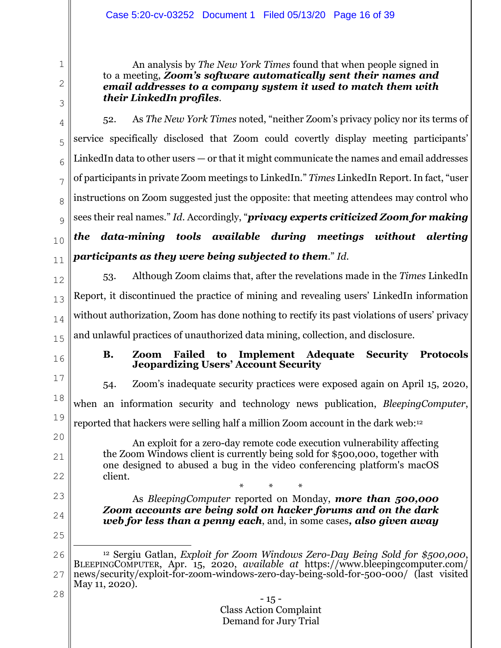An analysis by *The New York Times* found that when people signed in to a meeting, *Zoom's software automatically sent their names and email addresses to a company system it used to match them with their LinkedIn profiles*.

3

1

2

4 5 6 7 8  $\overline{Q}$ 10 11 52. As *The New York Times* noted, "neither Zoom's privacy policy nor its terms of service specifically disclosed that Zoom could covertly display meeting participants' LinkedIn data to other users — or that it might communicate the names and email addresses of participants in private Zoom meetings to LinkedIn." *Times* LinkedIn Report. In fact, "user instructions on Zoom suggested just the opposite: that meeting attendees may control who sees their real names." *Id*. Accordingly, "*privacy experts criticized Zoom for making the data-mining tools available during meetings without alerting participants as they were being subjected to them*." *Id*.

- 12 13 14 15 53. Although Zoom claims that, after the revelations made in the *Times* LinkedIn Report, it discontinued the practice of mining and revealing users' LinkedIn information without authorization, Zoom has done nothing to rectify its past violations of users' privacy and unlawful practices of unauthorized data mining, collection, and disclosure.
- 16

21

22

23

24

25

28

# **B. Zoom Failed to Implement Adequate Security Protocols Jeopardizing Users' Account Security**

17 18 19 20 54. Zoom's inadequate security practices were exposed again on April 15, 2020, when an information security and technology news publication, *BleepingComputer*, reported that hackers were selling half a million Zoom account in the dark web:12

An exploit for a zero-day remote code execution vulnerability affecting the Zoom Windows client is currently being sold for \$500,000, together with one designed to abused a bug in the video conferencing platform's macOS client.

\* \* \* As *BleepingComputer* reported on Monday, *more than 500,000 Zoom accounts are being sold on hacker forums and on the dark web for less than a penny each*, and, in some cases*, also given away* 

<sup>26</sup> 27 12 Sergiu Gatlan, *Exploit for Zoom Windows Zero-Day Being Sold for \$500,000*, BLEEPINGCOMPUTER, Apr. 15, 2020, *available at* https://www.bleepingcomputer.com/ news/security/exploit-for-zoom-windows-zero-day-being-sold-for-500-000/ (last visited May 11, 2020).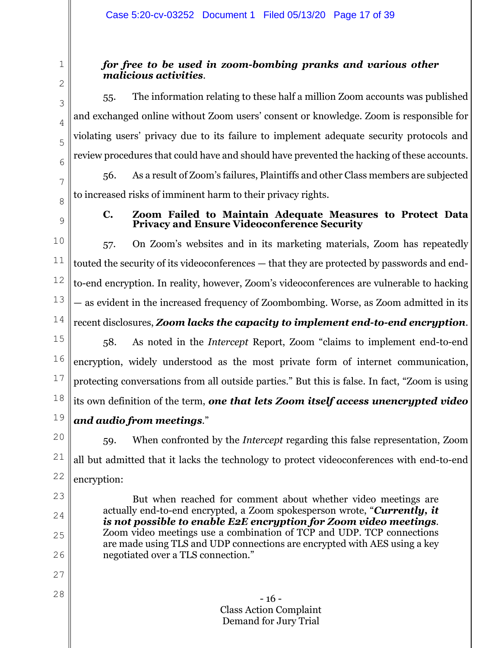# *for free to be used in zoom-bombing pranks and various other malicious activities*.

55. The information relating to these half a million Zoom accounts was published and exchanged online without Zoom users' consent or knowledge. Zoom is responsible for violating users' privacy due to its failure to implement adequate security protocols and review procedures that could have and should have prevented the hacking of these accounts.

56. As a result of Zoom's failures, Plaintiffs and other Class members are subjected to increased risks of imminent harm to their privacy rights.

8 9

23

24

25

26

27

28

1

2

3

4

5

6

7

# **C. Zoom Failed to Maintain Adequate Measures to Protect Data Privacy and Ensure Videoconference Security**

10 11 12 13 14 57. On Zoom's websites and in its marketing materials, Zoom has repeatedly touted the security of its videoconferences — that they are protected by passwords and endto-end encryption. In reality, however, Zoom's videoconferences are vulnerable to hacking — as evident in the increased frequency of Zoombombing. Worse, as Zoom admitted in its recent disclosures, *Zoom lacks the capacity to implement end-to-end encryption*.

15 16 17 18 19 58. As noted in the *Intercept* Report, Zoom "claims to implement end-to-end encryption, widely understood as the most private form of internet communication, protecting conversations from all outside parties." But this is false. In fact, "Zoom is using its own definition of the term, *one that lets Zoom itself access unencrypted video and audio from meetings*."

20 21 22 59. When confronted by the *Intercept* regarding this false representation, Zoom all but admitted that it lacks the technology to protect videoconferences with end-to-end encryption:

But when reached for comment about whether video meetings are actually end-to-end encrypted, a Zoom spokesperson wrote, "*Currently, it is not possible to enable E2E encryption for Zoom video meetings*. Zoom video meetings use a combination of TCP and UDP. TCP connections are made using TLS and UDP connections are encrypted with AES using a key negotiated over a TLS connection."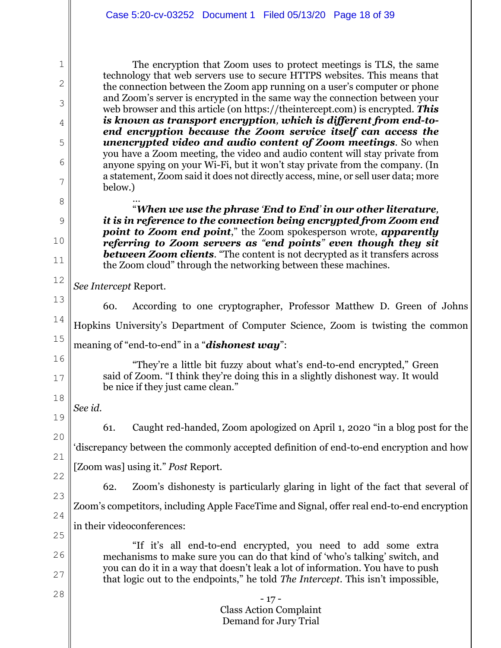The encryption that Zoom uses to protect meetings is TLS, the same technology that web servers use to secure HTTPS websites. This means that the connection between the Zoom app running on a user's computer or phone and Zoom's server is encrypted in the same way the connection between your web browser and this article (on https://theintercept.com) is encrypted. *This is known as transport encryption, which is different from end-toend encryption because the Zoom service itself can access the unencrypted video and audio content of Zoom meetings*. So when you have a Zoom meeting, the video and audio content will stay private from anyone spying on your Wi-Fi, but it won't stay private from the company. (In a statement, Zoom said it does not directly access, mine, or sell user data; more below.) …

"*When we use the phrase 'End to End' in our other literature, it is in reference to the connection being encrypted from Zoom end point to Zoom end point*," the Zoom spokesperson wrote, *apparently referring to Zoom servers as "end points" even though they sit between Zoom clients*. "The content is not decrypted as it transfers across the Zoom cloud" through the networking between these machines.

*See Intercept* Report.

1

2

3

4

5

6

7

8

9

10

11

12

- 17 - Class Action Complaint Demand for Jury Trial 13 14 15 16 17 18 19 20 21 22 23 24 25 26 27 28 60. According to one cryptographer, Professor Matthew D. Green of Johns Hopkins University's Department of Computer Science, Zoom is twisting the common meaning of "end-to-end" in a "*dishonest way*": "They're a little bit fuzzy about what's end-to-end encrypted," Green said of Zoom. "I think they're doing this in a slightly dishonest way. It would be nice if they just came clean." *See id*. 61. Caught red-handed, Zoom apologized on April 1, 2020 "in a blog post for the 'discrepancy between the commonly accepted definition of end-to-end encryption and how [Zoom was] using it." *Post* Report. 62. Zoom's dishonesty is particularly glaring in light of the fact that several of Zoom's competitors, including Apple FaceTime and Signal, offer real end-to-end encryption in their videoconferences: "If it's all end-to-end encrypted, you need to add some extra mechanisms to make sure you can do that kind of 'who's talking' switch, and you can do it in a way that doesn't leak a lot of information. You have to push that logic out to the endpoints," he told *The Intercept*. This isn't impossible,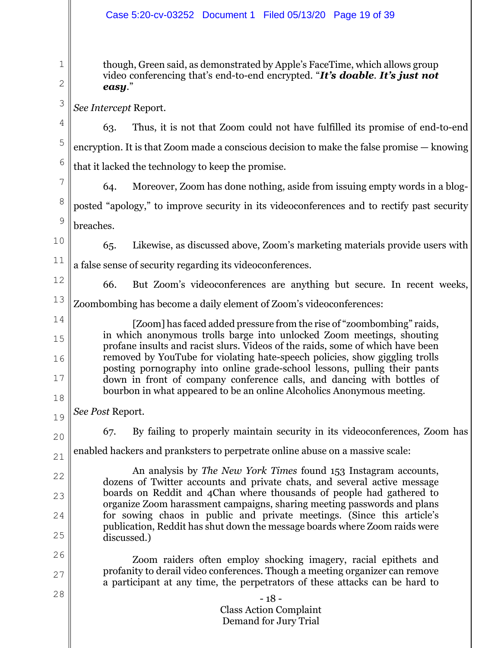# Case 5:20-cv-03252 Document 1 Filed 05/13/20 Page 19 of 39

though, Green said, as demonstrated by Apple's FaceTime, which allows group video conferencing that's end-to-end encrypted. "*It's doable*. *It's just not easy*."

*See Intercept* Report.

4 5 6 63. Thus, it is not that Zoom could not have fulfilled its promise of end-to-end encryption. It is that Zoom made a conscious decision to make the false promise — knowing that it lacked the technology to keep the promise.

7 8 9 64. Moreover, Zoom has done nothing, aside from issuing empty words in a blogposted "apology," to improve security in its videoconferences and to rectify past security breaches.

10 11 65. Likewise, as discussed above, Zoom's marketing materials provide users with a false sense of security regarding its videoconferences.

12

15

16

17

18

1

2

3

66. But Zoom's videoconferences are anything but secure. In recent weeks,

13 14 Zoombombing has become a daily element of Zoom's videoconferences:

 [Zoom] has faced added pressure from the rise of "zoombombing" raids, in which anonymous trolls barge into unlocked Zoom meetings, shouting profane insults and racist slurs. Videos of the raids, some of which have been removed by YouTube for violating hate-speech policies, show giggling trolls posting pornography into online grade-school lessons, pulling their pants down in front of company conference calls, and dancing with bottles of bourbon in what appeared to be an online Alcoholics Anonymous meeting.

19 *See Post* Report.

20

22

23

24

25

28

67. By failing to properly maintain security in its videoconferences, Zoom has

21 enabled hackers and pranksters to perpetrate online abuse on a massive scale:

An analysis by *The New York Times* found 153 Instagram accounts, dozens of Twitter accounts and private chats, and several active message boards on Reddit and 4Chan where thousands of people had gathered to organize Zoom harassment campaigns, sharing meeting passwords and plans for sowing chaos in public and private meetings. (Since this article's publication, Reddit has shut down the message boards where Zoom raids were discussed.)

26 27 Zoom raiders often employ shocking imagery, racial epithets and profanity to derail video conferences. Though a meeting organizer can remove a participant at any time, the perpetrators of these attacks can be hard to

> - 18 - Class Action Complaint Demand for Jury Trial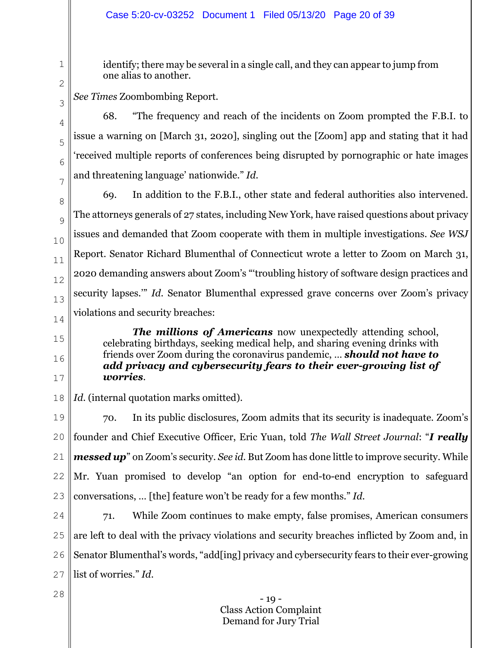# Case 5:20-cv-03252 Document 1 Filed 05/13/20 Page 20 of 39

identify; there may be several in a single call, and they can appear to jump from one alias to another.

2

1

*See Times* Zoombombing Report.

3

4

5

6

7

15

16

17

68. "The frequency and reach of the incidents on Zoom prompted the F.B.I. to issue a warning on [March 31, 2020], singling out the [Zoom] app and stating that it had 'received multiple reports of conferences being disrupted by pornographic or hate images and threatening language' nationwide." *Id*.

8 9 10 11 12 13 14 69. In addition to the F.B.I., other state and federal authorities also intervened. The attorneys generals of 27 states, including New York, have raised questions about privacy issues and demanded that Zoom cooperate with them in multiple investigations. *See WSJ* Report. Senator Richard Blumenthal of Connecticut wrote a letter to Zoom on March 31, 2020 demanding answers about Zoom's "'troubling history of software design practices and security lapses.'" *Id.* Senator Blumenthal expressed grave concerns over Zoom's privacy violations and security breaches:

 *The millions of Americans* now unexpectedly attending school, celebrating birthdays, seeking medical help, and sharing evening drinks with friends over Zoom during the coronavirus pandemic, … *should not have to add privacy and cybersecurity fears to their ever-growing list of worries*.

18 *Id*. (internal quotation marks omitted).

19 20 21 22 23 70. In its public disclosures, Zoom admits that its security is inadequate. Zoom's founder and Chief Executive Officer, Eric Yuan, told *The Wall Street Journal*: "*I really messed up*" on Zoom's security. *See id*. But Zoom has done little to improve security. While Mr. Yuan promised to develop "an option for end-to-end encryption to safeguard conversations, … [the] feature won't be ready for a few months." *Id*.

24

28

25 26 27 71. While Zoom continues to make empty, false promises, American consumers are left to deal with the privacy violations and security breaches inflicted by Zoom and, in Senator Blumenthal's words, "add[ing] privacy and cybersecurity fears to their ever-growing list of worries." *Id*.

> - 19 - Class Action Complaint Demand for Jury Trial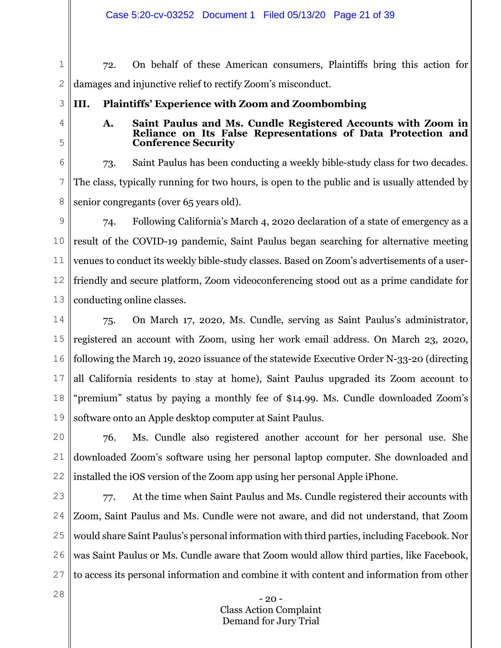Case 5:20-cv-03252 Document 1 Filed 05/13/20 Page 21 of 39

1 2 72. On behalf of these American consumers, Plaintiffs bring this action for damages and injunctive relief to rectify Zoom's misconduct.

3

4

5

28

# **III. Plaintiffs' Experience with Zoom and Zoombombing**

# **A. Saint Paulus and Ms. Cundle Registered Accounts with Zoom in Reliance on Its False Representations of Data Protection and Conference Security**

6 7 8 73. Saint Paulus has been conducting a weekly bible-study class for two decades. The class, typically running for two hours, is open to the public and is usually attended by senior congregants (over 65 years old).

9 10 11 12 13 74. Following California's March 4, 2020 declaration of a state of emergency as a result of the COVID-19 pandemic, Saint Paulus began searching for alternative meeting venues to conduct its weekly bible-study classes. Based on Zoom's advertisements of a userfriendly and secure platform, Zoom videoconferencing stood out as a prime candidate for conducting online classes.

14 15 16 17 18 19 75. On March 17, 2020, Ms. Cundle, serving as Saint Paulus's administrator, registered an account with Zoom, using her work email address. On March 23, 2020, following the March 19, 2020 issuance of the statewide Executive Order N-33-20 (directing all California residents to stay at home), Saint Paulus upgraded its Zoom account to "premium" status by paying a monthly fee of \$14.99. Ms. Cundle downloaded Zoom's software onto an Apple desktop computer at Saint Paulus.

20 21 22 76. Ms. Cundle also registered another account for her personal use. She downloaded Zoom's software using her personal laptop computer. She downloaded and installed the iOS version of the Zoom app using her personal Apple iPhone.

23 24 25 26 27 77. At the time when Saint Paulus and Ms. Cundle registered their accounts with Zoom, Saint Paulus and Ms. Cundle were not aware, and did not understand, that Zoom would share Saint Paulus's personal information with third parties, including Facebook. Nor was Saint Paulus or Ms. Cundle aware that Zoom would allow third parties, like Facebook, to access its personal information and combine it with content and information from other

> $-20$ Class Action Complaint Demand for Jury Trial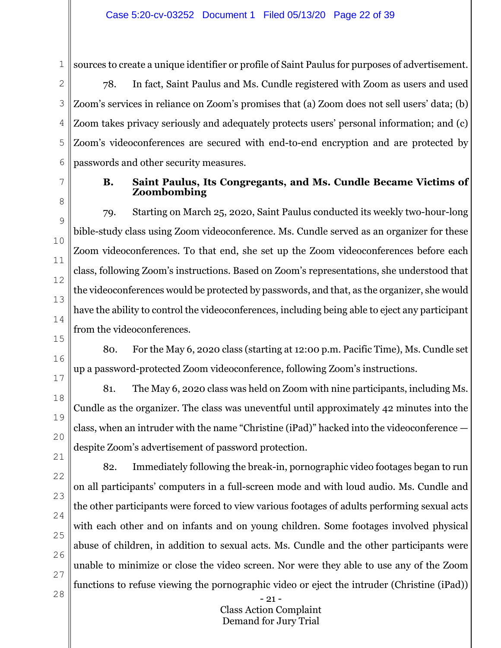1

sources to create a unique identifier or profile of Saint Paulus for purposes of advertisement.

2 3 4 5 6 78. In fact, Saint Paulus and Ms. Cundle registered with Zoom as users and used Zoom's services in reliance on Zoom's promises that (a) Zoom does not sell users' data; (b) Zoom takes privacy seriously and adequately protects users' personal information; and (c) Zoom's videoconferences are secured with end-to-end encryption and are protected by passwords and other security measures.

7 8

9

10

11

12

13

14

15

16

17

18

19

20

21

22

23

24

25

26

27

28

# **B. Saint Paulus, Its Congregants, and Ms. Cundle Became Victims of Zoombombing**

79. Starting on March 25, 2020, Saint Paulus conducted its weekly two-hour-long bible-study class using Zoom videoconference. Ms. Cundle served as an organizer for these Zoom videoconferences. To that end, she set up the Zoom videoconferences before each class, following Zoom's instructions. Based on Zoom's representations, she understood that the videoconferences would be protected by passwords, and that, as the organizer, she would have the ability to control the videoconferences, including being able to eject any participant from the videoconferences.

80. For the May 6, 2020 class (starting at 12:00 p.m. Pacific Time), Ms. Cundle set up a password-protected Zoom videoconference, following Zoom's instructions.

81. The May 6, 2020 class was held on Zoom with nine participants, including Ms. Cundle as the organizer. The class was uneventful until approximately 42 minutes into the class, when an intruder with the name "Christine (iPad)" hacked into the videoconference despite Zoom's advertisement of password protection.

82. Immediately following the break-in, pornographic video footages began to run on all participants' computers in a full-screen mode and with loud audio. Ms. Cundle and the other participants were forced to view various footages of adults performing sexual acts with each other and on infants and on young children. Some footages involved physical abuse of children, in addition to sexual acts. Ms. Cundle and the other participants were unable to minimize or close the video screen. Nor were they able to use any of the Zoom functions to refuse viewing the pornographic video or eject the intruder (Christine (iPad))

> - 21 - Class Action Complaint Demand for Jury Trial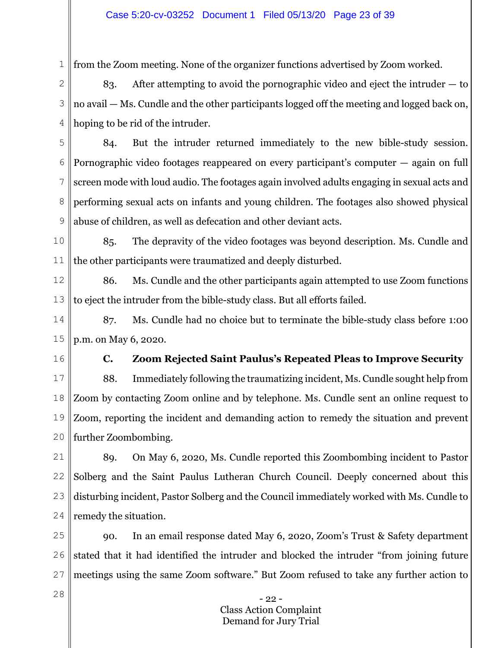#### Case 5:20-cv-03252 Document 1 Filed 05/13/20 Page 23 of 39

from the Zoom meeting. None of the organizer functions advertised by Zoom worked.

2 3 4 83. After attempting to avoid the pornographic video and eject the intruder — to no avail — Ms. Cundle and the other participants logged off the meeting and logged back on, hoping to be rid of the intruder.

5 6 7 8 9 84. But the intruder returned immediately to the new bible-study session. Pornographic video footages reappeared on every participant's computer — again on full screen mode with loud audio. The footages again involved adults engaging in sexual acts and performing sexual acts on infants and young children. The footages also showed physical abuse of children, as well as defecation and other deviant acts.

10 11 85. The depravity of the video footages was beyond description. Ms. Cundle and the other participants were traumatized and deeply disturbed.

12 13 86. Ms. Cundle and the other participants again attempted to use Zoom functions to eject the intruder from the bible-study class. But all efforts failed.

14 15 87. Ms. Cundle had no choice but to terminate the bible-study class before 1:00 p.m. on May 6, 2020.

16

1

# **C. Zoom Rejected Saint Paulus's Repeated Pleas to Improve Security**

17 18 19 20 88. Immediately following the traumatizing incident, Ms. Cundle sought help from Zoom by contacting Zoom online and by telephone. Ms. Cundle sent an online request to Zoom, reporting the incident and demanding action to remedy the situation and prevent further Zoombombing.

21 22 23 24 89. On May 6, 2020, Ms. Cundle reported this Zoombombing incident to Pastor Solberg and the Saint Paulus Lutheran Church Council. Deeply concerned about this disturbing incident, Pastor Solberg and the Council immediately worked with Ms. Cundle to remedy the situation.

25 26 27 90. In an email response dated May 6, 2020, Zoom's Trust & Safety department stated that it had identified the intruder and blocked the intruder "from joining future meetings using the same Zoom software." But Zoom refused to take any further action to

> - 22 - Class Action Complaint Demand for Jury Trial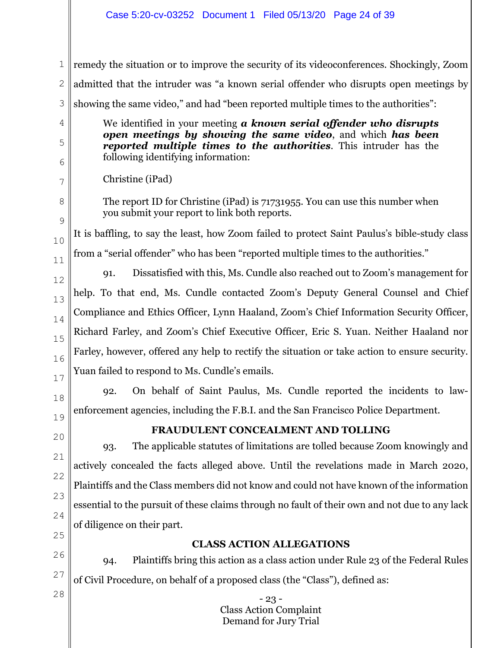- 23 - Class Action Complaint Demand for Jury Trial 1 2 3 4 5 6 7 8 9 10 11 12 13 14 15 16 17 18 19 20 21 22 23 24 25 26 27 28 remedy the situation or to improve the security of its videoconferences. Shockingly, Zoom admitted that the intruder was "a known serial offender who disrupts open meetings by showing the same video," and had "been reported multiple times to the authorities": We identified in your meeting *a known serial offender who disrupts open meetings by showing the same video*, and which *has been reported multiple times to the authorities*. This intruder has the following identifying information: Christine (iPad) The report ID for Christine (iPad) is 71731955. You can use this number when you submit your report to link both reports. It is baffling, to say the least, how Zoom failed to protect Saint Paulus's bible-study class from a "serial offender" who has been "reported multiple times to the authorities." 91. Dissatisfied with this, Ms. Cundle also reached out to Zoom's management for help. To that end, Ms. Cundle contacted Zoom's Deputy General Counsel and Chief Compliance and Ethics Officer, Lynn Haaland, Zoom's Chief Information Security Officer, Richard Farley, and Zoom's Chief Executive Officer, Eric S. Yuan. Neither Haaland nor Farley, however, offered any help to rectify the situation or take action to ensure security. Yuan failed to respond to Ms. Cundle's emails. 92. On behalf of Saint Paulus, Ms. Cundle reported the incidents to lawenforcement agencies, including the F.B.I. and the San Francisco Police Department. **FRAUDULENT CONCEALMENT AND TOLLING**  93. The applicable statutes of limitations are tolled because Zoom knowingly and actively concealed the facts alleged above. Until the revelations made in March 2020, Plaintiffs and the Class members did not know and could not have known of the information essential to the pursuit of these claims through no fault of their own and not due to any lack of diligence on their part. **CLASS ACTION ALLEGATIONS**  94. Plaintiffs bring this action as a class action under Rule 23 of the Federal Rules of Civil Procedure, on behalf of a proposed class (the "Class"), defined as: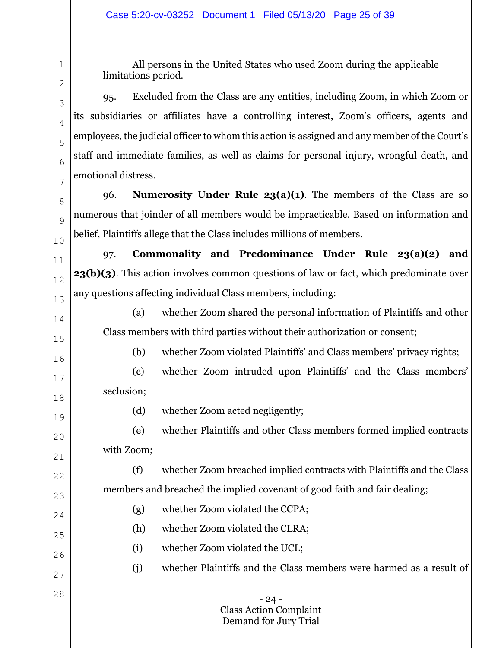All persons in the United States who used Zoom during the applicable limitations period.

95. Excluded from the Class are any entities, including Zoom, in which Zoom or its subsidiaries or affiliates have a controlling interest, Zoom's officers, agents and employees, the judicial officer to whom this action is assigned and any member of the Court's staff and immediate families, as well as claims for personal injury, wrongful death, and emotional distress.

96. **Numerosity Under Rule 23(a)(1)**. The members of the Class are so numerous that joinder of all members would be impracticable. Based on information and belief, Plaintiffs allege that the Class includes millions of members.

97. **Commonality and Predominance Under Rule 23(a)(2) and 23(b)(3)**. This action involves common questions of law or fact, which predominate over any questions affecting individual Class members, including:

(a) whether Zoom shared the personal information of Plaintiffs and other Class members with third parties without their authorization or consent;

(b) whether Zoom violated Plaintiffs' and Class members' privacy rights;

(c) whether Zoom intruded upon Plaintiffs' and the Class members' seclusion;

18 19

20

21

22

23

24

25

26

27

28

1

2

3

4

5

6

7

8

 $\overline{Q}$ 

10

11

12

13

14

15

16

17

(d) whether Zoom acted negligently;

(e) whether Plaintiffs and other Class members formed implied contracts with Zoom;

(f) whether Zoom breached implied contracts with Plaintiffs and the Class members and breached the implied covenant of good faith and fair dealing;

- (g) whether Zoom violated the CCPA;
- (h) whether Zoom violated the CLRA;
- (i) whether Zoom violated the UCL;
- (j) whether Plaintiffs and the Class members were harmed as a result of

- 24 - Class Action Complaint Demand for Jury Trial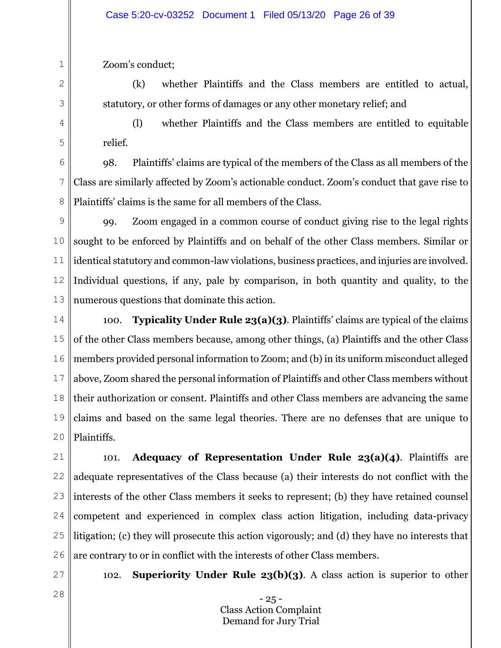Zoom's conduct;

1

2

3

4

5

(k) whether Plaintiffs and the Class members are entitled to actual, statutory, or other forms of damages or any other monetary relief; and

(l) whether Plaintiffs and the Class members are entitled to equitable relief.

6 7 8 98. Plaintiffs' claims are typical of the members of the Class as all members of the Class are similarly affected by Zoom's actionable conduct. Zoom's conduct that gave rise to Plaintiffs' claims is the same for all members of the Class.

- 9 10 11 12 13 99. Zoom engaged in a common course of conduct giving rise to the legal rights sought to be enforced by Plaintiffs and on behalf of the other Class members. Similar or identical statutory and common-law violations, business practices, and injuries are involved. Individual questions, if any, pale by comparison, in both quantity and quality, to the numerous questions that dominate this action.
- 14 15 16 17 18 19 20 100. **Typicality Under Rule 23(a)(3)**. Plaintiffs' claims are typical of the claims of the other Class members because, among other things, (a) Plaintiffs and the other Class members provided personal information to Zoom; and (b) in its uniform misconduct alleged above, Zoom shared the personal information of Plaintiffs and other Class members without their authorization or consent. Plaintiffs and other Class members are advancing the same claims and based on the same legal theories. There are no defenses that are unique to Plaintiffs.
- 21 22 23 24 25 26 101. **Adequacy of Representation Under Rule 23(a)(4)**. Plaintiffs are adequate representatives of the Class because (a) their interests do not conflict with the interests of the other Class members it seeks to represent; (b) they have retained counsel competent and experienced in complex class action litigation, including data-privacy litigation; (c) they will prosecute this action vigorously; and (d) they have no interests that are contrary to or in conflict with the interests of other Class members.
- 27 28

102. **Superiority Under Rule 23(b)(3)**. A class action is superior to other

- 25 - Class Action Complaint Demand for Jury Trial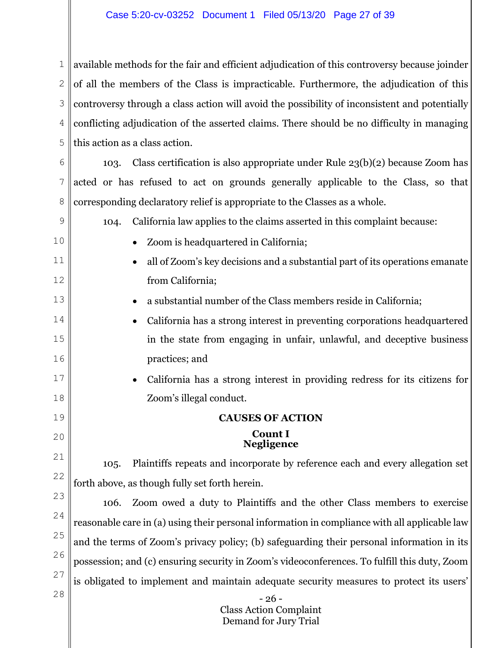### Case 5:20-cv-03252 Document 1 Filed 05/13/20 Page 27 of 39

1 2 3 4 5 available methods for the fair and efficient adjudication of this controversy because joinder of all the members of the Class is impracticable. Furthermore, the adjudication of this controversy through a class action will avoid the possibility of inconsistent and potentially conflicting adjudication of the asserted claims. There should be no difficulty in managing this action as a class action.

6 7 8 103. Class certification is also appropriate under Rule 23(b)(2) because Zoom has acted or has refused to act on grounds generally applicable to the Class, so that corresponding declaratory relief is appropriate to the Classes as a whole.

- 104. California law applies to the claims asserted in this complaint because:
	- x Zoom is headquartered in California;

9

10

11

12

13

14

15

16

17

18

19

20

- all of Zoom's key decisions and a substantial part of its operations emanate from California;
	- x a substantial number of the Class members reside in California;
- x California has a strong interest in preventing corporations headquartered in the state from engaging in unfair, unlawful, and deceptive business practices; and
	- x California has a strong interest in providing redress for its citizens for Zoom's illegal conduct.

# **CAUSES OF ACTION Count I**

# **Negligence**

21 22 105. Plaintiffs repeats and incorporate by reference each and every allegation set forth above, as though fully set forth herein.

23 24 25 26 27 28 106. Zoom owed a duty to Plaintiffs and the other Class members to exercise reasonable care in (a) using their personal information in compliance with all applicable law and the terms of Zoom's privacy policy; (b) safeguarding their personal information in its possession; and (c) ensuring security in Zoom's videoconferences. To fulfill this duty, Zoom is obligated to implement and maintain adequate security measures to protect its users'

- 26 - Class Action Complaint Demand for Jury Trial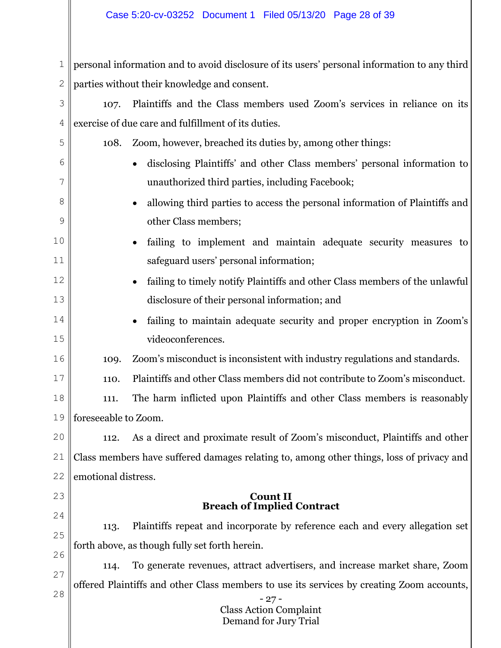### Case 5:20-cv-03252 Document 1 Filed 05/13/20 Page 28 of 39

1 2 personal information and to avoid disclosure of its users' personal information to any third parties without their knowledge and consent.

- 3 4 107. Plaintiffs and the Class members used Zoom's services in reliance on its exercise of due care and fulfillment of its duties.
	- 108. Zoom, however, breached its duties by, among other things:
		- x disclosing Plaintiffs' and other Class members' personal information to unauthorized third parties, including Facebook;
		- x allowing third parties to access the personal information of Plaintiffs and other Class members;
		- failing to implement and maintain adequate security measures to safeguard users' personal information;
		- failing to timely notify Plaintiffs and other Class members of the unlawful disclosure of their personal information; and
		- failing to maintain adequate security and proper encryption in Zoom's videoconferences.
- 16 109. Zoom's misconduct is inconsistent with industry regulations and standards.
	- 110. Plaintiffs and other Class members did not contribute to Zoom's misconduct.
- 18 19 111. The harm inflicted upon Plaintiffs and other Class members is reasonably foreseeable to Zoom.

20 21 22 112. As a direct and proximate result of Zoom's misconduct, Plaintiffs and other Class members have suffered damages relating to, among other things, loss of privacy and emotional distress.

# **Count II Breach of Implied Contract**

25 26 113. Plaintiffs repeat and incorporate by reference each and every allegation set forth above, as though fully set forth herein.

27

23

24

5

6

7

8

9

10

11

12

13

14

15

17

28 114. To generate revenues, attract advertisers, and increase market share, Zoom offered Plaintiffs and other Class members to use its services by creating Zoom accounts,

- 27 - Class Action Complaint Demand for Jury Trial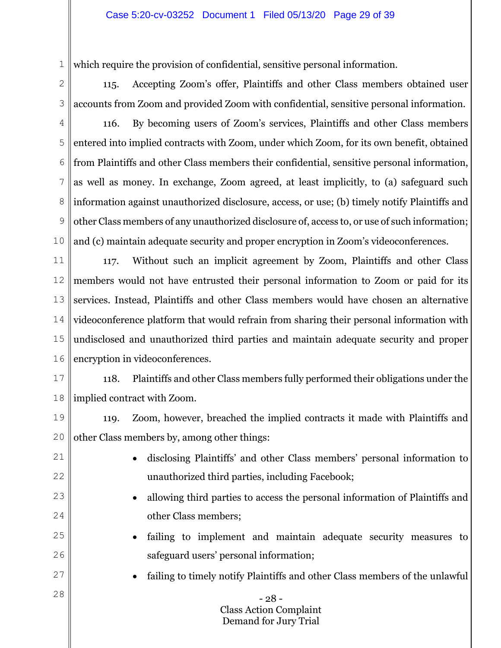### Case 5:20-cv-03252 Document 1 Filed 05/13/20 Page 29 of 39

which require the provision of confidential, sensitive personal information.

2

3

1

115. Accepting Zoom's offer, Plaintiffs and other Class members obtained user accounts from Zoom and provided Zoom with confidential, sensitive personal information.

4 5 6 7 8 9 10 116. By becoming users of Zoom's services, Plaintiffs and other Class members entered into implied contracts with Zoom, under which Zoom, for its own benefit, obtained from Plaintiffs and other Class members their confidential, sensitive personal information, as well as money. In exchange, Zoom agreed, at least implicitly, to (a) safeguard such information against unauthorized disclosure, access, or use; (b) timely notify Plaintiffs and other Class members of any unauthorized disclosure of, access to, or use of such information; and (c) maintain adequate security and proper encryption in Zoom's videoconferences.

11 12 13 14 15 16 117. Without such an implicit agreement by Zoom, Plaintiffs and other Class members would not have entrusted their personal information to Zoom or paid for its services. Instead, Plaintiffs and other Class members would have chosen an alternative videoconference platform that would refrain from sharing their personal information with undisclosed and unauthorized third parties and maintain adequate security and proper encryption in videoconferences.

17

18 118. Plaintiffs and other Class members fully performed their obligations under the implied contract with Zoom.

19

20

119. Zoom, however, breached the implied contracts it made with Plaintiffs and other Class members by, among other things:

21 22

23

24

25

26

- x disclosing Plaintiffs' and other Class members' personal information to unauthorized third parties, including Facebook;
- x allowing third parties to access the personal information of Plaintiffs and other Class members;
- failing to implement and maintain adequate security measures to safeguard users' personal information;
- 27 28
- failing to timely notify Plaintiffs and other Class members of the unlawful

- 28 - Class Action Complaint Demand for Jury Trial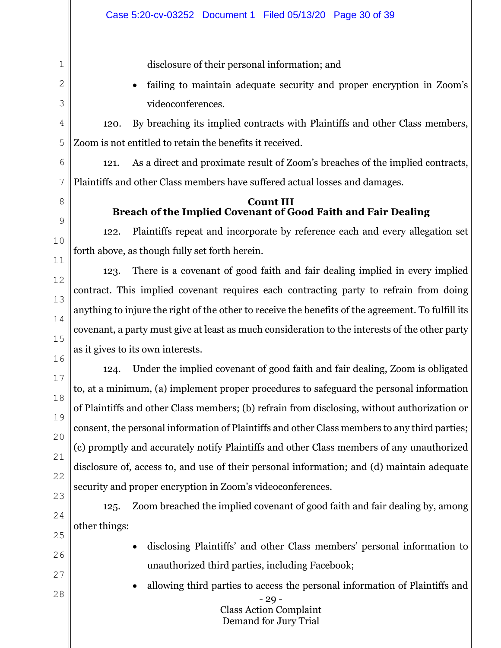disclosure of their personal information; and

failing to maintain adequate security and proper encryption in Zoom's videoconferences.

120. By breaching its implied contracts with Plaintiffs and other Class members, Zoom is not entitled to retain the benefits it received.

121. As a direct and proximate result of Zoom's breaches of the implied contracts, Plaintiffs and other Class members have suffered actual losses and damages.

# **Count III Breach of the Implied Covenant of Good Faith and Fair Dealing**

122. Plaintiffs repeat and incorporate by reference each and every allegation set forth above, as though fully set forth herein.

123. There is a covenant of good faith and fair dealing implied in every implied contract. This implied covenant requires each contracting party to refrain from doing anything to injure the right of the other to receive the benefits of the agreement. To fulfill its covenant, a party must give at least as much consideration to the interests of the other party as it gives to its own interests.

124. Under the implied covenant of good faith and fair dealing, Zoom is obligated to, at a minimum, (a) implement proper procedures to safeguard the personal information of Plaintiffs and other Class members; (b) refrain from disclosing, without authorization or consent, the personal information of Plaintiffs and other Class members to any third parties; (c) promptly and accurately notify Plaintiffs and other Class members of any unauthorized disclosure of, access to, and use of their personal information; and (d) maintain adequate security and proper encryption in Zoom's videoconferences.

125. Zoom breached the implied covenant of good faith and fair dealing by, among other things:

- x disclosing Plaintiffs' and other Class members' personal information to unauthorized third parties, including Facebook;
	- x allowing third parties to access the personal information of Plaintiffs and

 $-29 -$ Class Action Complaint Demand for Jury Trial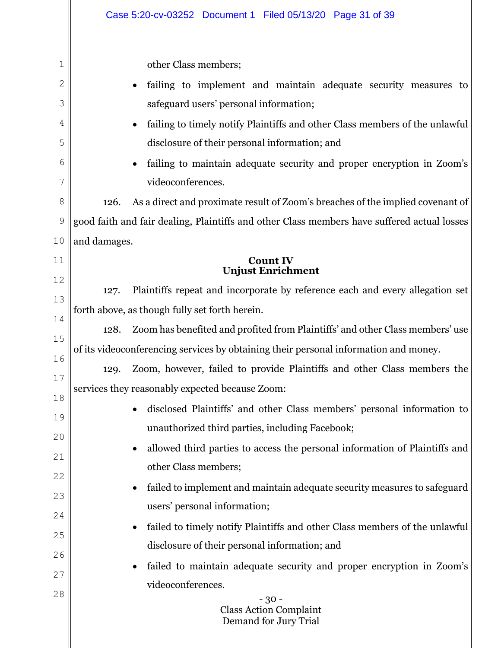|        | Case 5:20-cv-03252 Document 1 Filed 05/13/20 Page 31 of 39                                  |
|--------|---------------------------------------------------------------------------------------------|
|        |                                                                                             |
| 1      | other Class members;                                                                        |
| 2      | failing to implement and maintain adequate security measures to                             |
| 3      | safeguard users' personal information;                                                      |
| 4      | failing to timely notify Plaintiffs and other Class members of the unlawful                 |
| 5      | disclosure of their personal information; and                                               |
| 6<br>7 | failing to maintain adequate security and proper encryption in Zoom's<br>videoconferences.  |
| 8      | As a direct and proximate result of Zoom's breaches of the implied covenant of<br>126.      |
| 9      | good faith and fair dealing, Plaintiffs and other Class members have suffered actual losses |
| 10     | and damages.                                                                                |
| 11     | <b>Count IV</b>                                                                             |
| 12     | <b>Unjust Enrichment</b>                                                                    |
| 13     | Plaintiffs repeat and incorporate by reference each and every allegation set<br>127.        |
| 14     | forth above, as though fully set forth herein.                                              |
| 15     | Zoom has benefited and profited from Plaintiffs' and other Class members' use<br>128.       |
| 16     | of its videoconferencing services by obtaining their personal information and money.        |
| 17     | Zoom, however, failed to provide Plaintiffs and other Class members the<br>129.             |
| 18     | services they reasonably expected because Zoom:                                             |
| 19     | disclosed Plaintiffs' and other Class members' personal information to                      |
| 20     | unauthorized third parties, including Facebook;                                             |
| 21     | allowed third parties to access the personal information of Plaintiffs and                  |
| 22     | other Class members;                                                                        |
| 23     | failed to implement and maintain adequate security measures to safeguard                    |
| 24     | users' personal information;                                                                |
| 25     | failed to timely notify Plaintiffs and other Class members of the unlawful                  |
| 26     | disclosure of their personal information; and                                               |
| 27     | failed to maintain adequate security and proper encryption in Zoom's                        |
| 28     | videoconferences.                                                                           |
|        | $-30-$<br><b>Class Action Complaint</b><br>Demand for Jury Trial                            |
|        |                                                                                             |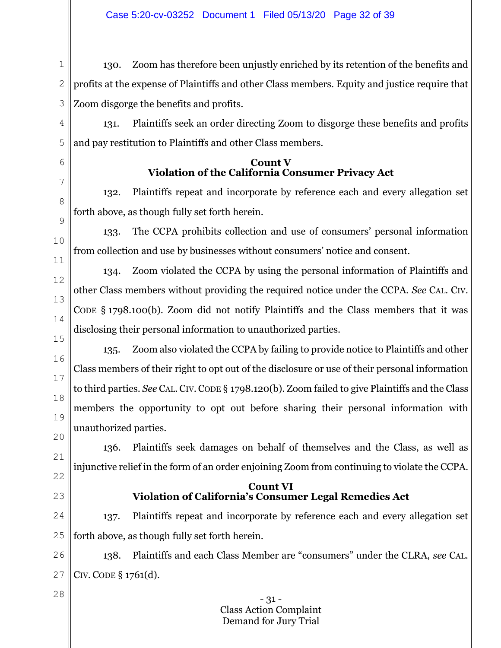# Case 5:20-cv-03252 Document 1 Filed 05/13/20 Page 32 of 39

1 2 130. Zoom has therefore been unjustly enriched by its retention of the benefits and profits at the expense of Plaintiffs and other Class members. Equity and justice require that Zoom disgorge the benefits and profits.

131. Plaintiffs seek an order directing Zoom to disgorge these benefits and profits and pay restitution to Plaintiffs and other Class members.

# **Count V Violation of the California Consumer Privacy Act**

132. Plaintiffs repeat and incorporate by reference each and every allegation set forth above, as though fully set forth herein.

133. The CCPA prohibits collection and use of consumers' personal information from collection and use by businesses without consumers' notice and consent.

134. Zoom violated the CCPA by using the personal information of Plaintiffs and other Class members without providing the required notice under the CCPA. *See* CAL. CIV. CODE § 1798.100(b). Zoom did not notify Plaintiffs and the Class members that it was disclosing their personal information to unauthorized parties.

135. Zoom also violated the CCPA by failing to provide notice to Plaintiffs and other Class members of their right to opt out of the disclosure or use of their personal information to third parties. *See* CAL.CIV.CODE § 1798.120(b). Zoom failed to give Plaintiffs and the Class members the opportunity to opt out before sharing their personal information with unauthorized parties.

136. Plaintiffs seek damages on behalf of themselves and the Class, as well as injunctive relief in the form of an order enjoining Zoom from continuing to violate the CCPA.

# **Count VI Violation of California's Consumer Legal Remedies Act**

25 137. Plaintiffs repeat and incorporate by reference each and every allegation set forth above, as though fully set forth herein.

26 27 138. Plaintiffs and each Class Member are "consumers" under the CLRA, *see* CAL. CIV. CODE § 1761(d).

> - 31 - Class Action Complaint Demand for Jury Trial

- 
- 
- 28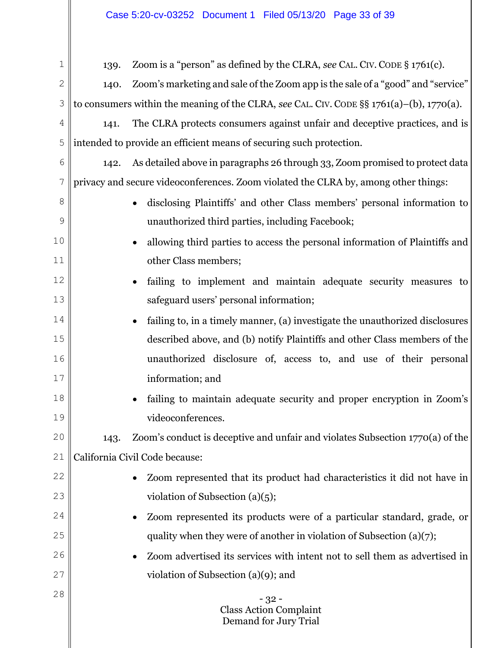# Case 5:20-cv-03252 Document 1 Filed 05/13/20 Page 33 of 39

| 1  | 139.      | Zoom is a "person" as defined by the CLRA, see CAL. CIV. CODE § 1761(c).                     |
|----|-----------|----------------------------------------------------------------------------------------------|
| 2  | 140.      | Zoom's marketing and sale of the Zoom app is the sale of a "good" and "service"              |
| 3  |           | to consumers within the meaning of the CLRA, see CAL. CIV. CODE $\S$ § 1761(a)-(b), 1770(a). |
| 4  | 141.      | The CLRA protects consumers against unfair and deceptive practices, and is                   |
| 5  |           | intended to provide an efficient means of securing such protection.                          |
| 6  |           | 142. As detailed above in paragraphs 26 through 33, Zoom promised to protect data            |
| 7  |           | privacy and secure videoconferences. Zoom violated the CLRA by, among other things:          |
| 8  |           | disclosing Plaintiffs' and other Class members' personal information to                      |
| 9  |           | unauthorized third parties, including Facebook;                                              |
| 10 | $\bullet$ | allowing third parties to access the personal information of Plaintiffs and                  |
| 11 |           | other Class members;                                                                         |
| 12 | $\bullet$ | failing to implement and maintain adequate security measures to                              |
| 13 |           | safeguard users' personal information;                                                       |
| 14 | $\bullet$ | failing to, in a timely manner, (a) investigate the unauthorized disclosures                 |
| 15 |           | described above, and (b) notify Plaintiffs and other Class members of the                    |
| 16 |           | unauthorized disclosure of, access to, and use of their personal                             |
| 17 |           | information; and                                                                             |
| 18 |           | failing to maintain adequate security and proper encryption in Zoom's                        |
| 19 |           | videoconferences.                                                                            |
| 20 | 143.      | Zoom's conduct is deceptive and unfair and violates Subsection 1770(a) of the                |
| 21 |           | California Civil Code because:                                                               |
| 22 |           | Zoom represented that its product had characteristics it did not have in                     |
| 23 |           | violation of Subsection $(a)(5)$ ;                                                           |
| 24 |           | Zoom represented its products were of a particular standard, grade, or                       |
| 25 |           | quality when they were of another in violation of Subsection $(a)(7)$ ;                      |
| 26 | $\bullet$ | Zoom advertised its services with intent not to sell them as advertised in                   |
| 27 |           | violation of Subsection (a)(9); and                                                          |
| 28 |           | $-32-$<br><b>Class Action Complaint</b><br>Demand for Jury Trial                             |
|    |           |                                                                                              |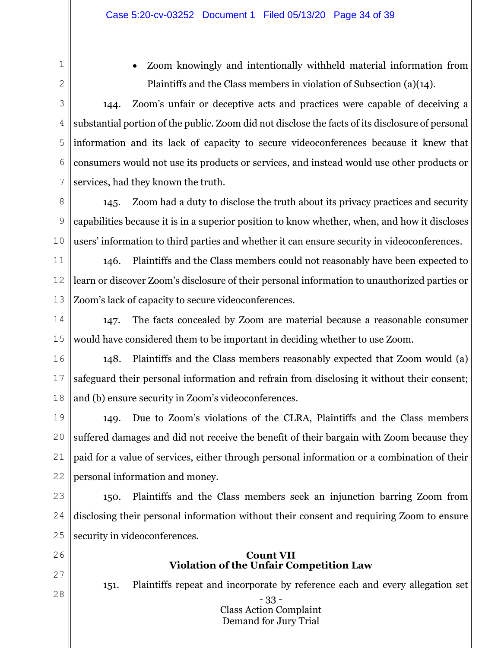1 2 x Zoom knowingly and intentionally withheld material information from Plaintiffs and the Class members in violation of Subsection (a)(14).

3 4 5 6 7 144. Zoom's unfair or deceptive acts and practices were capable of deceiving a substantial portion of the public. Zoom did not disclose the facts of its disclosure of personal information and its lack of capacity to secure videoconferences because it knew that consumers would not use its products or services, and instead would use other products or services, had they known the truth.

8 9 10 145. Zoom had a duty to disclose the truth about its privacy practices and security capabilities because it is in a superior position to know whether, when, and how it discloses users' information to third parties and whether it can ensure security in videoconferences.

11 12 13 146. Plaintiffs and the Class members could not reasonably have been expected to learn or discover Zoom's disclosure of their personal information to unauthorized parties or Zoom's lack of capacity to secure videoconferences.

14 15 147. The facts concealed by Zoom are material because a reasonable consumer would have considered them to be important in deciding whether to use Zoom.

16 17 18 148. Plaintiffs and the Class members reasonably expected that Zoom would (a) safeguard their personal information and refrain from disclosing it without their consent; and (b) ensure security in Zoom's videoconferences.

19 20 21 22 149. Due to Zoom's violations of the CLRA, Plaintiffs and the Class members suffered damages and did not receive the benefit of their bargain with Zoom because they paid for a value of services, either through personal information or a combination of their personal information and money.

23 24 25 150. Plaintiffs and the Class members seek an injunction barring Zoom from disclosing their personal information without their consent and requiring Zoom to ensure security in videoconferences.

- 26
- 27
- 28

# **Count VII Violation of the Unfair Competition Law**

151. Plaintiffs repeat and incorporate by reference each and every allegation set

- 33 - Class Action Complaint Demand for Jury Trial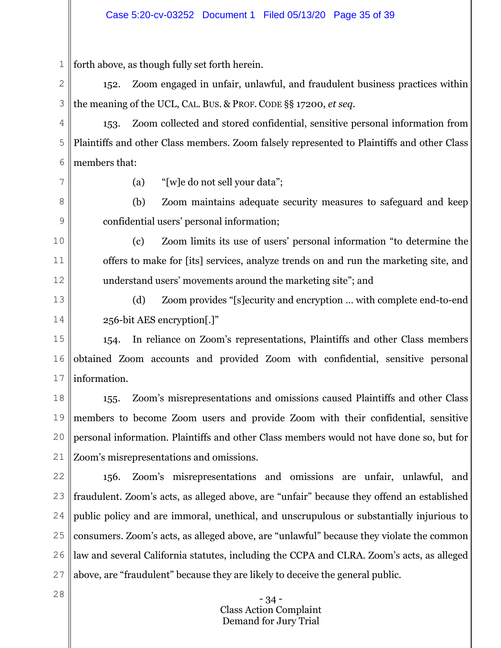1 forth above, as though fully set forth herein.

2 3 152. Zoom engaged in unfair, unlawful, and fraudulent business practices within the meaning of the UCL, CAL. BUS. & PROF. CODE §§ 17200, *et seq*.

4 5 6 153. Zoom collected and stored confidential, sensitive personal information from Plaintiffs and other Class members. Zoom falsely represented to Plaintiffs and other Class members that:

7

8

9

10

11

12

(a) "[w]e do not sell your data";

(b) Zoom maintains adequate security measures to safeguard and keep confidential users' personal information;

(c) Zoom limits its use of users' personal information "to determine the offers to make for [its] services, analyze trends on and run the marketing site, and understand users' movements around the marketing site"; and

13 14 (d) Zoom provides "[s]ecurity and encryption … with complete end-to-end 256-bit AES encryption[.]"

15 16 17 154. In reliance on Zoom's representations, Plaintiffs and other Class members obtained Zoom accounts and provided Zoom with confidential, sensitive personal information.

18 19 20 21 155. Zoom's misrepresentations and omissions caused Plaintiffs and other Class members to become Zoom users and provide Zoom with their confidential, sensitive personal information. Plaintiffs and other Class members would not have done so, but for Zoom's misrepresentations and omissions.

22 23 24 25 26 27 156. Zoom's misrepresentations and omissions are unfair, unlawful, and fraudulent. Zoom's acts, as alleged above, are "unfair" because they offend an established public policy and are immoral, unethical, and unscrupulous or substantially injurious to consumers. Zoom's acts, as alleged above, are "unlawful" because they violate the common law and several California statutes, including the CCPA and CLRA. Zoom's acts, as alleged above, are "fraudulent" because they are likely to deceive the general public.

> - 34 - Class Action Complaint Demand for Jury Trial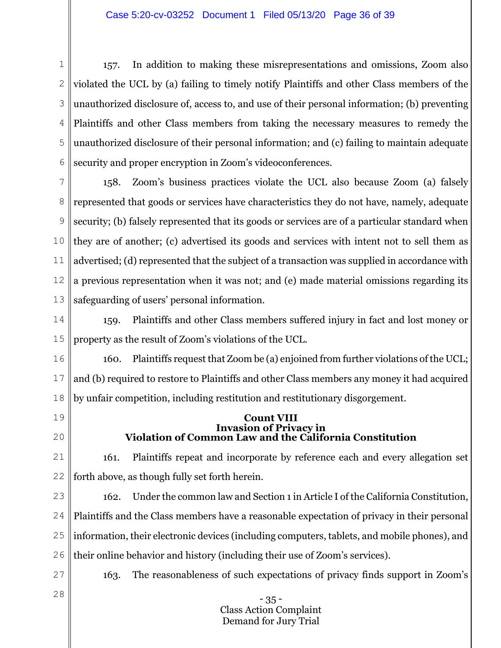1 2 3 4 5 6 157. In addition to making these misrepresentations and omissions, Zoom also violated the UCL by (a) failing to timely notify Plaintiffs and other Class members of the unauthorized disclosure of, access to, and use of their personal information; (b) preventing Plaintiffs and other Class members from taking the necessary measures to remedy the unauthorized disclosure of their personal information; and (c) failing to maintain adequate security and proper encryption in Zoom's videoconferences.

7 8 9 10 11 12 13 158. Zoom's business practices violate the UCL also because Zoom (a) falsely represented that goods or services have characteristics they do not have, namely, adequate security; (b) falsely represented that its goods or services are of a particular standard when they are of another; (c) advertised its goods and services with intent not to sell them as advertised; (d) represented that the subject of a transaction was supplied in accordance with a previous representation when it was not; and (e) made material omissions regarding its safeguarding of users' personal information.

14 15 159. Plaintiffs and other Class members suffered injury in fact and lost money or property as the result of Zoom's violations of the UCL.

16 17 18 160. Plaintiffs request that Zoom be (a) enjoined from further violations of the UCL; and (b) required to restore to Plaintiffs and other Class members any money it had acquired by unfair competition, including restitution and restitutionary disgorgement.

- 19
- 20

#### **Count VIII Invasion of Privacy in Violation of Common Law and the California Constitution**

21 22 161. Plaintiffs repeat and incorporate by reference each and every allegation set forth above, as though fully set forth herein.

23 24 25 26 162. Under the common law and Section 1 in Article I of the California Constitution, Plaintiffs and the Class members have a reasonable expectation of privacy in their personal information, their electronic devices (including computers, tablets, and mobile phones), and their online behavior and history (including their use of Zoom's services).

27 28 163. The reasonableness of such expectations of privacy finds support in Zoom's

- 35 - Class Action Complaint Demand for Jury Trial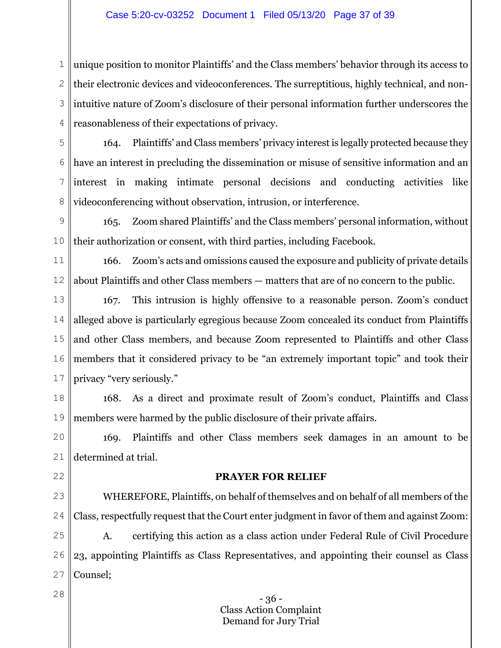#### Case 5:20-cv-03252 Document 1 Filed 05/13/20 Page 37 of 39

1 2 3 4 unique position to monitor Plaintiffs' and the Class members' behavior through its access to their electronic devices and videoconferences. The surreptitious, highly technical, and nonintuitive nature of Zoom's disclosure of their personal information further underscores the reasonableness of their expectations of privacy.

5 6

7

8

164. Plaintiffs' and Class members' privacy interest is legally protected because they have an interest in precluding the dissemination or misuse of sensitive information and an interest in making intimate personal decisions and conducting activities like videoconferencing without observation, intrusion, or interference.

9 10 165. Zoom shared Plaintiffs' and the Class members' personal information, without their authorization or consent, with third parties, including Facebook.

11 12 166. Zoom's acts and omissions caused the exposure and publicity of private details about Plaintiffs and other Class members — matters that are of no concern to the public.

13 14 15 16 17 167. This intrusion is highly offensive to a reasonable person. Zoom's conduct alleged above is particularly egregious because Zoom concealed its conduct from Plaintiffs and other Class members, and because Zoom represented to Plaintiffs and other Class members that it considered privacy to be "an extremely important topic" and took their privacy "very seriously."

18 19 168. As a direct and proximate result of Zoom's conduct, Plaintiffs and Class members were harmed by the public disclosure of their private affairs.

20 21 169. Plaintiffs and other Class members seek damages in an amount to be determined at trial.

# **PRAYER FOR RELIEF**

23 24 WHEREFORE, Plaintiffs, on behalf of themselves and on behalf of all members of the Class, respectfully request that the Court enter judgment in favor of them and against Zoom:

25 26 27 A. certifying this action as a class action under Federal Rule of Civil Procedure 23, appointing Plaintiffs as Class Representatives, and appointing their counsel as Class Counsel;

28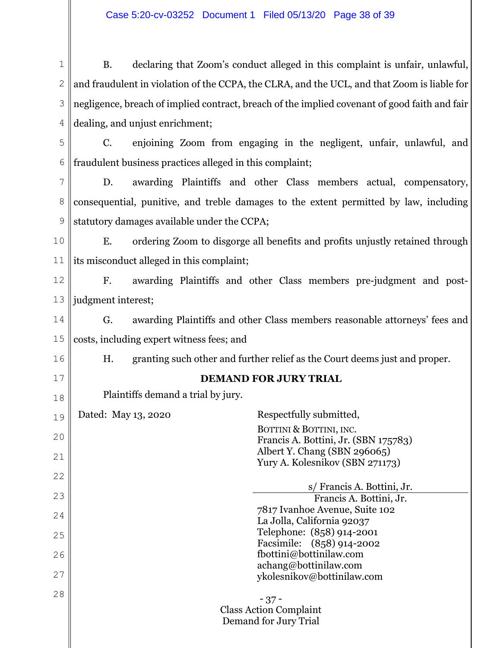# Case 5:20-cv-03252 Document 1 Filed 05/13/20 Page 38 of 39

1 2 3 4 B. declaring that Zoom's conduct alleged in this complaint is unfair, unlawful, and fraudulent in violation of the CCPA, the CLRA, and the UCL, and that Zoom is liable for negligence, breach of implied contract, breach of the implied covenant of good faith and fair dealing, and unjust enrichment;

5 6 C. enjoining Zoom from engaging in the negligent, unfair, unlawful, and fraudulent business practices alleged in this complaint;

7 8 9 D. awarding Plaintiffs and other Class members actual, compensatory, consequential, punitive, and treble damages to the extent permitted by law, including statutory damages available under the CCPA;

10 11 E. ordering Zoom to disgorge all benefits and profits unjustly retained through its misconduct alleged in this complaint;

12 13 F. awarding Plaintiffs and other Class members pre-judgment and postjudgment interest;

14 15 G. awarding Plaintiffs and other Class members reasonable attorneys' fees and costs, including expert witness fees; and

H. granting such other and further relief as the Court deems just and proper.

17 18

16

# **DEMAND FOR JURY TRIAL**

Plaintiffs demand a trial by jury.

- 37 - Class Action Complaint Demand for Jury Trial 19 20 21 22 23 24 25 26 27 28 Dated: May 13, 2020 Respectfully submitted, BOTTINI & BOTTINI, INC. Francis A. Bottini, Jr. (SBN 175783) Albert Y. Chang (SBN 296065) Yury A. Kolesnikov (SBN 271173) s/ Francis A. Bottini, Jr. Francis A. Bottini, Jr. 7817 Ivanhoe Avenue, Suite 102 La Jolla, California 92037 Telephone: (858) 914-2001 Facsimile: (858) 914-2002 fbottini@bottinilaw.com achang@bottinilaw.com ykolesnikov@bottinilaw.com